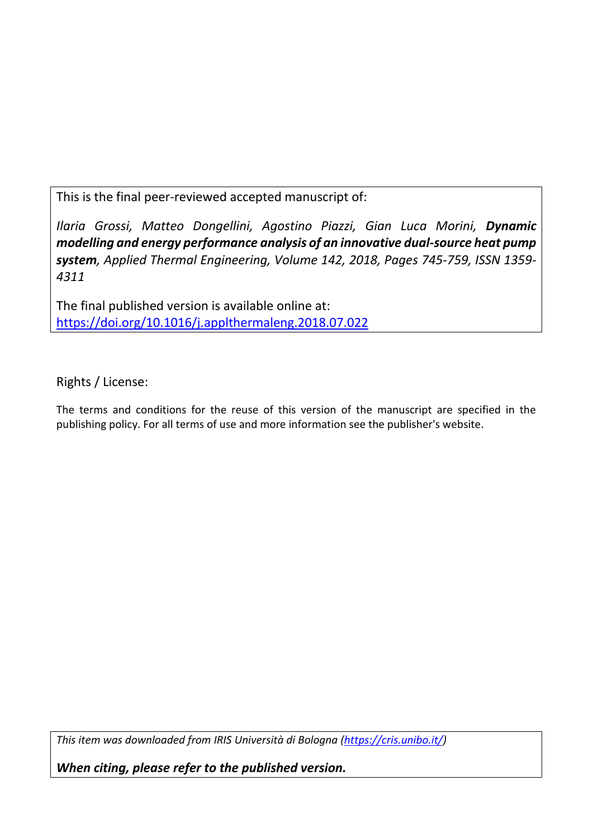This is the final peer-reviewed accepted manuscript of:

*Ilaria Grossi, Matteo Dongellini, Agostino Piazzi, Gian Luca Morini, Dynamic modelling and energy performance analysis of an innovative dual-source heat pump system, Applied Thermal Engineering, Volume 142, 2018, Pages 745-759, ISSN 1359- 4311*

The final published version is available online at: <https://doi.org/10.1016/j.applthermaleng.2018.07.022>

Rights / License:

The terms and conditions for the reuse of this version of the manuscript are specified in the publishing policy. For all terms of use and more information see the publisher's website.

*This item was downloaded from IRIS Università di Bologna [\(https://cris.unibo.it/\)](https://cris.unibo.it/)*

*When citing, please refer to the published version.*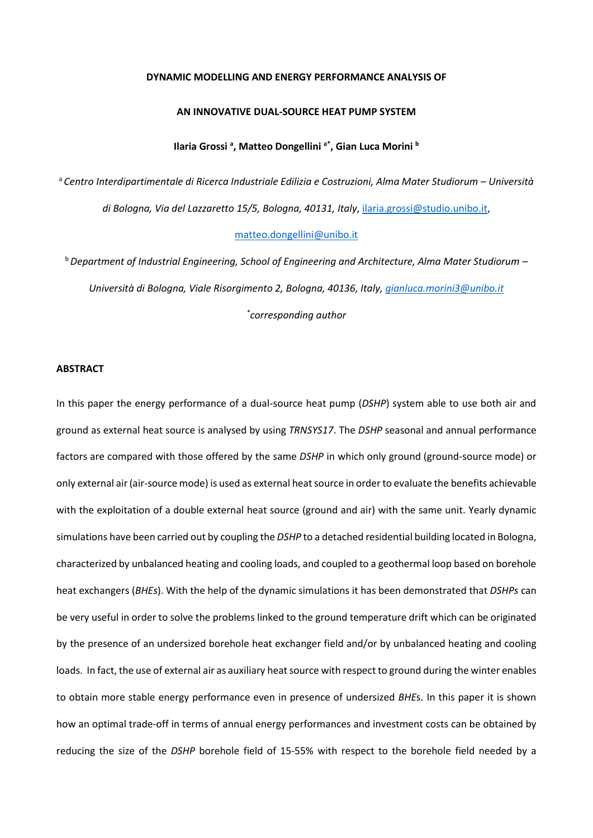#### **DYNAMIC MODELLING AND ENERGY PERFORMANCE ANALYSIS OF**

#### **AN INNOVATIVE DUAL-SOURCE HEAT PUMP SYSTEM**

# **Ilaria Grossi <sup>a</sup> , Matteo Dongellini a\*, Gian Luca Morini <sup>b</sup>**

<sup>a</sup> *Centro Interdipartimentale di Ricerca Industriale Edilizia e Costruzioni, Alma Mater Studiorum – Università di Bologna, Via del Lazzaretto 15/5, Bologna, 40131, Italy*, [ilaria.grossi@studio.unibo.it,](mailto:ilaria.grossi@studio.unibo.it)

# [matteo.dongellini@unibo.it](mailto:matteo.dongellini@unibo.it)

<sup>b</sup>*Department of Industrial Engineering, School of Engineering and Architecture, Alma Mater Studiorum – Università di Bologna, Viale Risorgimento 2, Bologna, 40136, Italy, [gianluca.morini3@unibo.it](mailto:gianluca.morini3@unibo.it) \* corresponding author*

#### **ABSTRACT**

In this paper the energy performance of a dual-source heat pump (*DSHP*) system able to use both air and ground as external heat source is analysed by using *TRNSYS17*. The *DSHP* seasonal and annual performance factors are compared with those offered by the same *DSHP* in which only ground (ground-source mode) or only external air (air-source mode) is used as external heat source in order to evaluate the benefits achievable with the exploitation of a double external heat source (ground and air) with the same unit. Yearly dynamic simulations have been carried out by coupling the *DSHP* to a detached residential building located in Bologna, characterized by unbalanced heating and cooling loads, and coupled to a geothermal loop based on borehole heat exchangers (*BHEs*). With the help of the dynamic simulations it has been demonstrated that *DSHPs* can be very useful in order to solve the problems linked to the ground temperature drift which can be originated by the presence of an undersized borehole heat exchanger field and/or by unbalanced heating and cooling loads. In fact, the use of external air as auxiliary heat source with respect to ground during the winter enables to obtain more stable energy performance even in presence of undersized *BHE*s. In this paper it is shown how an optimal trade-off in terms of annual energy performances and investment costs can be obtained by reducing the size of the *DSHP* borehole field of 15-55% with respect to the borehole field needed by a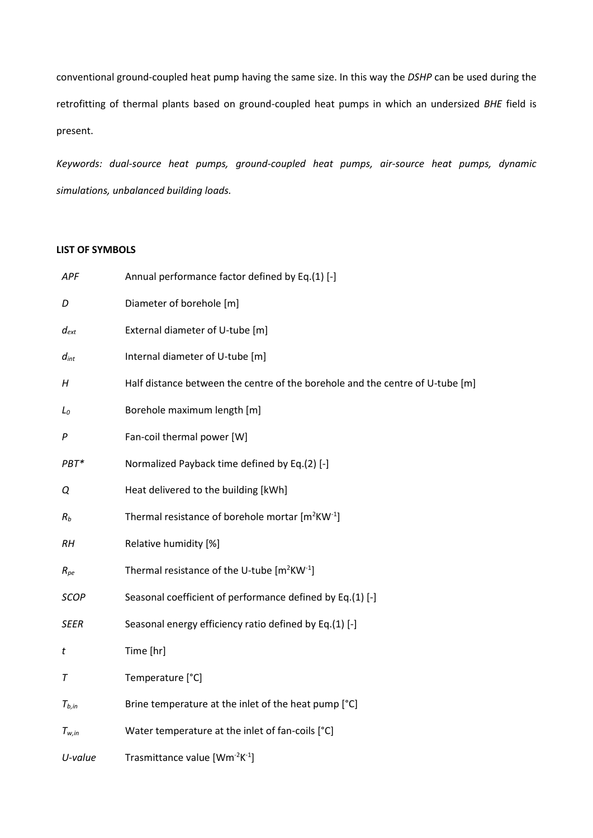conventional ground-coupled heat pump having the same size. In this way the *DSHP* can be used during the retrofitting of thermal plants based on ground-coupled heat pumps in which an undersized *BHE* field is present.

*Keywords: dual-source heat pumps, ground-coupled heat pumps, air-source heat pumps, dynamic simulations, unbalanced building loads.*

# **LIST OF SYMBOLS**

| APF         | Annual performance factor defined by Eq.(1) [-]                               |
|-------------|-------------------------------------------------------------------------------|
| D           | Diameter of borehole [m]                                                      |
| $d_{ext}$   | External diameter of U-tube [m]                                               |
| $d_{int}$   | Internal diameter of U-tube [m]                                               |
| $H_{\rm}$   | Half distance between the centre of the borehole and the centre of U-tube [m] |
| $L_0$       | Borehole maximum length [m]                                                   |
| P           | Fan-coil thermal power [W]                                                    |
| PBT*        | Normalized Payback time defined by Eq.(2) [-]                                 |
| Q           | Heat delivered to the building [kWh]                                          |
| $R_b$       | Thermal resistance of borehole mortar $[m^2KW^{-1}]$                          |
| <b>RH</b>   | Relative humidity [%]                                                         |
| $R_{pe}$    | Thermal resistance of the U-tube $[m^2KW^1]$                                  |
| <b>SCOP</b> | Seasonal coefficient of performance defined by Eq.(1) [-]                     |
| <b>SEER</b> | Seasonal energy efficiency ratio defined by Eq.(1) [-]                        |
| t           | Time [hr]                                                                     |
| T           | Temperature [°C]                                                              |
| $T_{b,in}$  | Brine temperature at the inlet of the heat pump [°C]                          |
| $T_{w,in}$  | Water temperature at the inlet of fan-coils [°C]                              |
| U-value     | Trasmittance value [Wm <sup>-2</sup> K <sup>-1</sup> ]                        |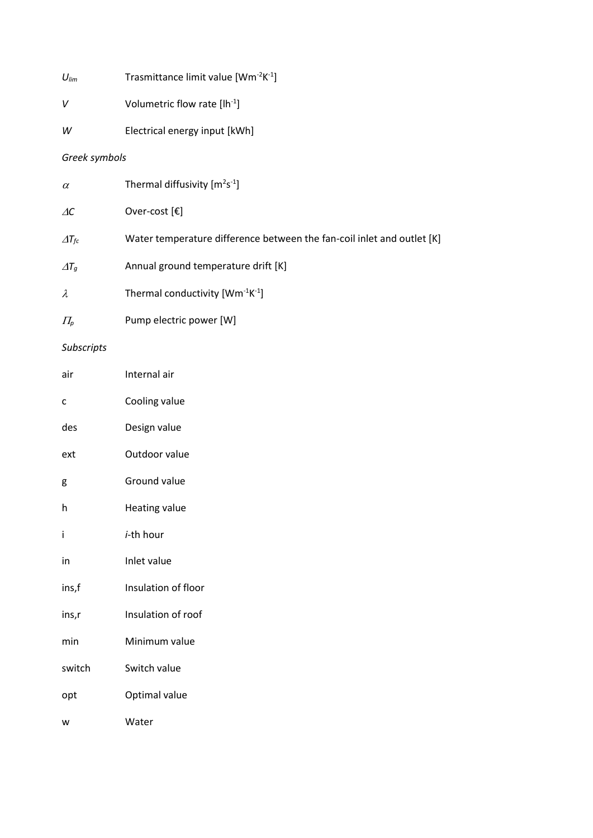| V | Volumetric flow rate [lh <sup>-1</sup> ] |  |
|---|------------------------------------------|--|
|   |                                          |  |

*W* Electrical energy input [kWh]

# *Greek symbols*

| $\alpha$                         | Thermal diffusivity $[m^2s^{-1}]$                                      |
|----------------------------------|------------------------------------------------------------------------|
| $\Delta C$                       | Over-cost $[\mathbf{\epsilon}]$                                        |
| $\varDelta T_{fc}$               | Water temperature difference between the fan-coil inlet and outlet [K] |
| $\varDelta T_q$                  | Annual ground temperature drift [K]                                    |
| $\lambda$                        | Thermal conductivity $[Wm^{-1}K^{-1}]$                                 |
| $\varPi_{\scriptscriptstyle{D}}$ | Pump electric power [W]                                                |

# *Subscripts*

| air    | Internal air        |
|--------|---------------------|
| C      | Cooling value       |
| des    | Design value        |
| ext    | Outdoor value       |
| g      | Ground value        |
| h      | Heating value       |
| i      | <i>i</i> -th hour   |
| in     | Inlet value         |
| ins,f  | Insulation of floor |
| ins,r  | Insulation of roof  |
| min    | Minimum value       |
| switch | Switch value        |
| opt    | Optimal value       |
| W      | Water               |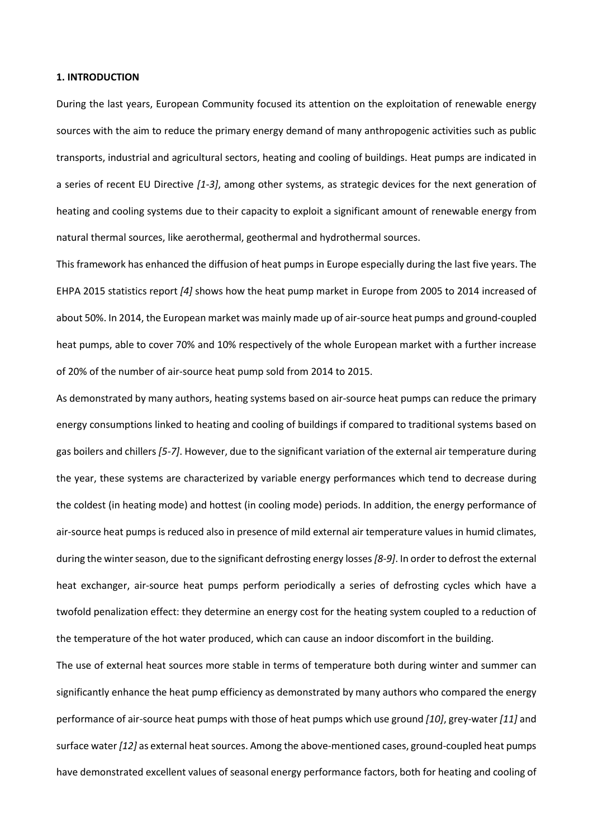## **1. INTRODUCTION**

During the last years, European Community focused its attention on the exploitation of renewable energy sources with the aim to reduce the primary energy demand of many anthropogenic activities such as public transports, industrial and agricultural sectors, heating and cooling of buildings. Heat pumps are indicated in a series of recent EU Directive *[1-3]*, among other systems, as strategic devices for the next generation of heating and cooling systems due to their capacity to exploit a significant amount of renewable energy from natural thermal sources, like aerothermal, geothermal and hydrothermal sources.

This framework has enhanced the diffusion of heat pumps in Europe especially during the last five years. The EHPA 2015 statistics report *[4]* shows how the heat pump market in Europe from 2005 to 2014 increased of about 50%. In 2014, the European market was mainly made up of air-source heat pumps and ground-coupled heat pumps, able to cover 70% and 10% respectively of the whole European market with a further increase of 20% of the number of air-source heat pump sold from 2014 to 2015.

As demonstrated by many authors, heating systems based on air-source heat pumps can reduce the primary energy consumptions linked to heating and cooling of buildings if compared to traditional systems based on gas boilers and chillers *[5-7]*. However, due to the significant variation of the external air temperature during the year, these systems are characterized by variable energy performances which tend to decrease during the coldest (in heating mode) and hottest (in cooling mode) periods. In addition, the energy performance of air-source heat pumps is reduced also in presence of mild external air temperature values in humid climates, during the winter season, due to the significant defrosting energy losses *[8-9]*. In order to defrost the external heat exchanger, air-source heat pumps perform periodically a series of defrosting cycles which have a twofold penalization effect: they determine an energy cost for the heating system coupled to a reduction of the temperature of the hot water produced, which can cause an indoor discomfort in the building.

The use of external heat sources more stable in terms of temperature both during winter and summer can significantly enhance the heat pump efficiency as demonstrated by many authors who compared the energy performance of air-source heat pumps with those of heat pumps which use ground *[10]*, grey-water *[11]* and surface water *[12]* as external heat sources. Among the above-mentioned cases, ground-coupled heat pumps have demonstrated excellent values of seasonal energy performance factors, both for heating and cooling of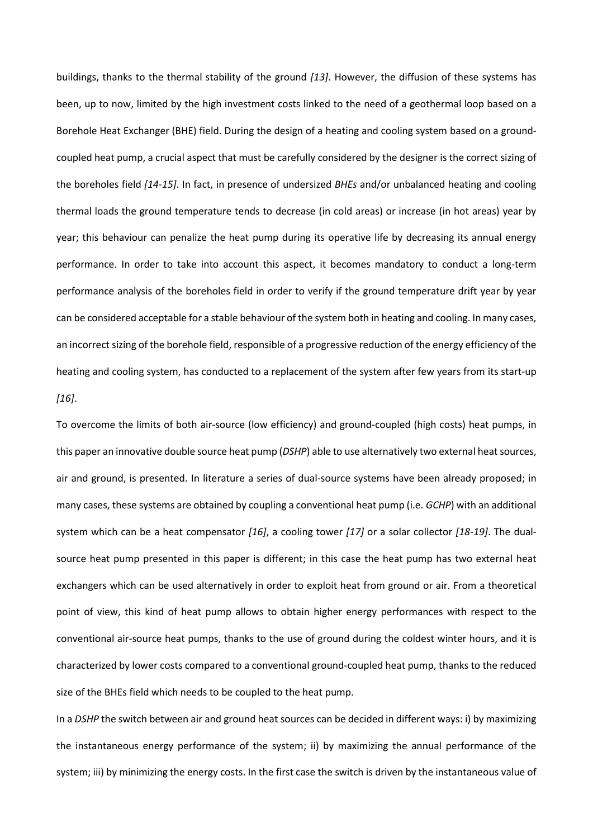buildings, thanks to the thermal stability of the ground *[13]*. However, the diffusion of these systems has been, up to now, limited by the high investment costs linked to the need of a geothermal loop based on a Borehole Heat Exchanger (BHE) field. During the design of a heating and cooling system based on a groundcoupled heat pump, a crucial aspect that must be carefully considered by the designer is the correct sizing of the boreholes field *[14-15]*. In fact, in presence of undersized *BHEs* and/or unbalanced heating and cooling thermal loads the ground temperature tends to decrease (in cold areas) or increase (in hot areas) year by year; this behaviour can penalize the heat pump during its operative life by decreasing its annual energy performance. In order to take into account this aspect, it becomes mandatory to conduct a long-term performance analysis of the boreholes field in order to verify if the ground temperature drift year by year can be considered acceptable for a stable behaviour of the system both in heating and cooling. In many cases, an incorrect sizing of the borehole field, responsible of a progressive reduction of the energy efficiency of the heating and cooling system, has conducted to a replacement of the system after few years from its start-up *[16]*.

To overcome the limits of both air-source (low efficiency) and ground-coupled (high costs) heat pumps, in this paper an innovative double source heat pump (*DSHP*) able to use alternatively two external heatsources, air and ground, is presented. In literature a series of dual-source systems have been already proposed; in many cases, these systems are obtained by coupling a conventional heat pump (i.e. *GCHP*) with an additional system which can be a heat compensator *[16]*, a cooling tower *[17]* or a solar collector *[18-19]*. The dualsource heat pump presented in this paper is different; in this case the heat pump has two external heat exchangers which can be used alternatively in order to exploit heat from ground or air. From a theoretical point of view, this kind of heat pump allows to obtain higher energy performances with respect to the conventional air-source heat pumps, thanks to the use of ground during the coldest winter hours, and it is characterized by lower costs compared to a conventional ground-coupled heat pump, thanks to the reduced size of the BHEs field which needs to be coupled to the heat pump.

In a *DSHP* the switch between air and ground heat sources can be decided in different ways: i) by maximizing the instantaneous energy performance of the system; ii) by maximizing the annual performance of the system; iii) by minimizing the energy costs. In the first case the switch is driven by the instantaneous value of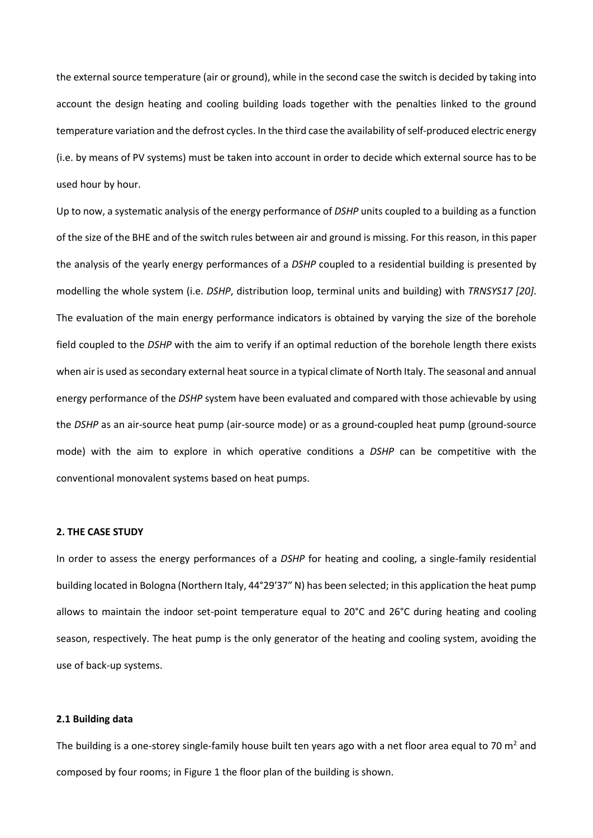the external source temperature (air or ground), while in the second case the switch is decided by taking into account the design heating and cooling building loads together with the penalties linked to the ground temperature variation and the defrost cycles. In the third case the availability of self-produced electric energy (i.e. by means of PV systems) must be taken into account in order to decide which external source has to be used hour by hour.

Up to now, a systematic analysis of the energy performance of *DSHP* units coupled to a building as a function of the size of the BHE and of the switch rules between air and ground is missing. For this reason, in this paper the analysis of the yearly energy performances of a *DSHP* coupled to a residential building is presented by modelling the whole system (i.e. *DSHP*, distribution loop, terminal units and building) with *TRNSYS17 [20]*. The evaluation of the main energy performance indicators is obtained by varying the size of the borehole field coupled to the *DSHP* with the aim to verify if an optimal reduction of the borehole length there exists when air is used as secondary external heat source in a typical climate of North Italy. The seasonal and annual energy performance of the *DSHP* system have been evaluated and compared with those achievable by using the *DSHP* as an air-source heat pump (air-source mode) or as a ground-coupled heat pump (ground-source mode) with the aim to explore in which operative conditions a *DSHP* can be competitive with the conventional monovalent systems based on heat pumps.

# **2. THE CASE STUDY**

In order to assess the energy performances of a *DSHP* for heating and cooling, a single-family residential building located in Bologna (Northern Italy, 44°29′37″ N) has been selected; in this application the heat pump allows to maintain the indoor set-point temperature equal to 20°C and 26°C during heating and cooling season, respectively. The heat pump is the only generator of the heating and cooling system, avoiding the use of back-up systems.

#### **2.1 Building data**

The building is a one-storey single-family house built ten years ago with a net floor area equal to 70  $m<sup>2</sup>$  and composed by four rooms; in [Figure 1](#page-7-0) the floor plan of the building is shown.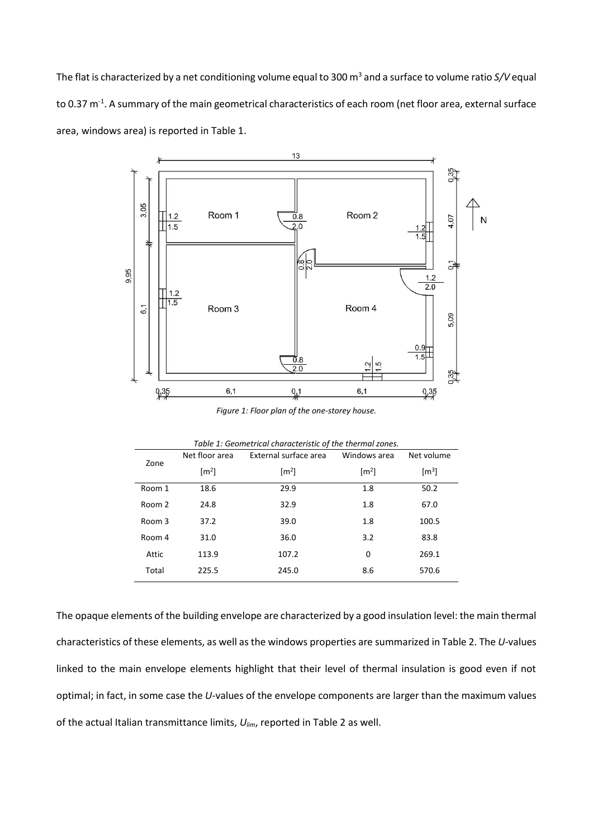The flat is characterized by a net conditioning volume equal to 300 m<sup>3</sup> and a surface to volume ratio *S*/V equal to 0.37 m<sup>-1</sup>. A summary of the main geometrical characteristics of each room (net floor area, external surface area, windows area) is reported in [Table 1.](#page-7-1)



*Figure 1: Floor plan of the one-storey house.*

<span id="page-7-1"></span><span id="page-7-0"></span>

|        |                     | Table 1: Geometrical characteristic of the thermal zones. |                     |                     |
|--------|---------------------|-----------------------------------------------------------|---------------------|---------------------|
|        | Net floor area      | External surface area                                     | Windows area        | Net volume          |
| Zone   | $\lceil m^2 \rceil$ | $\lceil m^2 \rceil$                                       | $\lceil m^2 \rceil$ | $\lceil m^3 \rceil$ |
| Room 1 | 18.6                | 29.9                                                      | 1.8                 | 50.2                |
| Room 2 | 24.8                | 32.9                                                      | 1.8                 | 67.0                |
| Room 3 | 37.2                | 39.0                                                      | 1.8                 | 100.5               |
| Room 4 | 31.0                | 36.0                                                      | 3.2                 | 83.8                |
| Attic  | 113.9               | 107.2                                                     | 0                   | 269.1               |
| Total  | 225.5               | 245.0                                                     | 8.6                 | 570.6               |

The opaque elements of the building envelope are characterized by a good insulation level: the main thermal characteristics of these elements, as well as the windows properties are summarized in [Table 2.](#page-8-0) The *U*-values linked to the main envelope elements highlight that their level of thermal insulation is good even if not optimal; in fact, in some case the *U*-values of the envelope components are larger than the maximum values of the actual Italian transmittance limits, *Ulim*, reported i[n Table 2](#page-8-0) as well.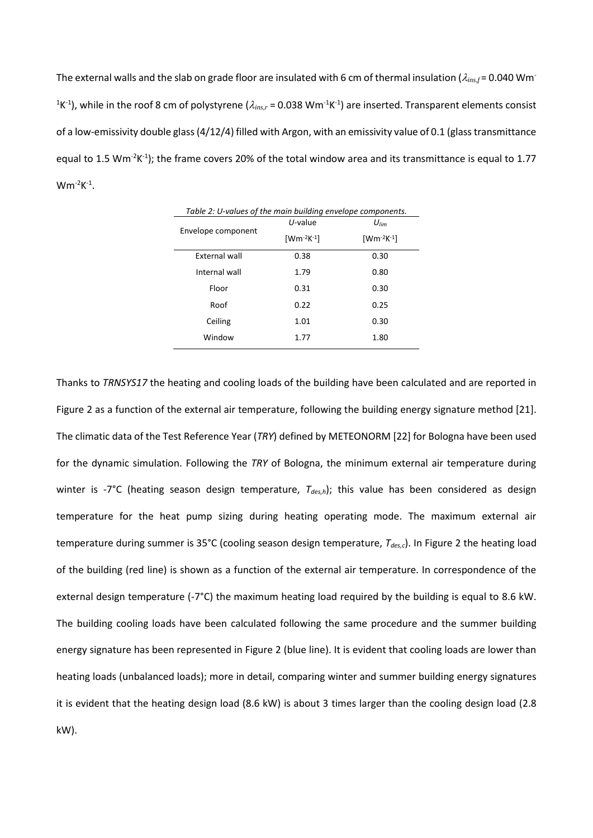The external walls and the slab on grade floor are insulated with 6 cm of thermal insulation ( $\lambda_{ins,f}$  = 0.040 Wm<sup>-</sup> <sup>1</sup>K<sup>-1</sup>), while in the roof 8 cm of polystyrene ( $\lambda_{ins,r}$  = 0.038 Wm<sup>-1</sup>K<sup>-1</sup>) are inserted. Transparent elements consist of a low-emissivity double glass (4/12/4) filled with Argon, with an emissivity value of 0.1 (glass transmittance equal to 1.5 Wm<sup>-2</sup>K<sup>-1</sup>); the frame covers 20% of the total window area and its transmittance is equal to 1.77  $Wm^{-2}K^{-1}$ .

<span id="page-8-0"></span>

| Table 2: U-values of the main building envelope components. |                   |                   |  |  |  |  |  |
|-------------------------------------------------------------|-------------------|-------------------|--|--|--|--|--|
|                                                             | $U$ -value        | $U_{lim}$         |  |  |  |  |  |
| Envelope component                                          | $[Wm^{-2}K^{-1}]$ | $[Wm^{-2}K^{-1}]$ |  |  |  |  |  |
| External wall                                               | 0.38              | 0.30              |  |  |  |  |  |
| Internal wall                                               | 1.79              | 0.80              |  |  |  |  |  |
| Floor                                                       | 0.31              | 0.30              |  |  |  |  |  |
| Roof                                                        | 0.22              | 0.25              |  |  |  |  |  |
| Ceiling                                                     | 1.01              | 0.30              |  |  |  |  |  |
| Window                                                      | 1.77              | 1.80              |  |  |  |  |  |

Thanks to *TRNSYS17* the heating and cooling loads of the building have been calculated and are reported in [Figure 2](#page-9-0) as a function of the external air temperature, following the building energy signature method [21]. The climatic data of the Test Reference Year (*TRY*) defined by METEONORM [22] for Bologna have been used for the dynamic simulation. Following the *TRY* of Bologna, the minimum external air temperature during winter is -7°C (heating season design temperature,  $T_{des,h}$ ); this value has been considered as design temperature for the heat pump sizing during heating operating mode. The maximum external air temperature during summer is 35°C (cooling season design temperature, *Tdes,c*). In [Figure 2](#page-9-0) the heating load of the building (red line) is shown as a function of the external air temperature. In correspondence of the external design temperature (-7°C) the maximum heating load required by the building is equal to 8.6 kW. The building cooling loads have been calculated following the same procedure and the summer building energy signature has been represented in Figure 2 (blue line). It is evident that cooling loads are lower than heating loads (unbalanced loads); more in detail, comparing winter and summer building energy signatures it is evident that the heating design load (8.6 kW) is about 3 times larger than the cooling design load (2.8 kW).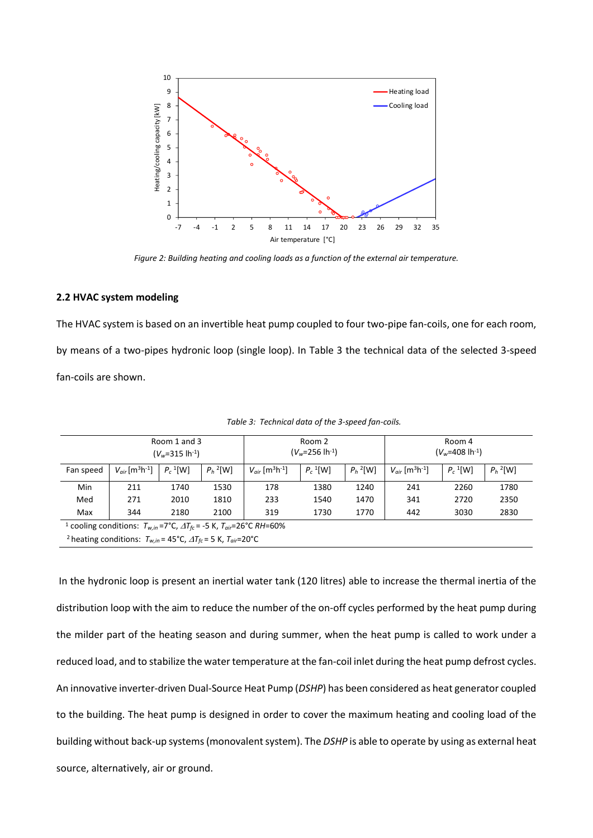

*Figure 2: Building heating and cooling loads as a function of the external air temperature.*

## <span id="page-9-0"></span>**2.2 HVAC system modeling**

The HVAC system is based on an invertible heat pump coupled to four two-pipe fan-coils, one for each room, by means of a two-pipes hydronic loop (single loop). In Table 3 the technical data of the selected 3-speed fan-coils are shown.

| Room 1 and 3<br>$(V_w=315 \text{ lh}^{-1})$                                                      |                                             |                                                                                                        |      | Room 2<br>$(V_w=256 \text{ lh}^{-1})$ |                        |             | Room 4<br>$(V_w=408 \text{ lh}^{-1})$       |                        |             |
|--------------------------------------------------------------------------------------------------|---------------------------------------------|--------------------------------------------------------------------------------------------------------|------|---------------------------------------|------------------------|-------------|---------------------------------------------|------------------------|-------------|
| Fan speed                                                                                        | $V_{air}$ [m <sup>3</sup> h <sup>-1</sup> ] | $P_h$ <sup>2</sup> [W]<br>$P_c$ <sup>1</sup> [W]<br>$V_{\text{air}}$ [m <sup>3</sup> h <sup>-1</sup> ] |      |                                       | $P_c$ <sup>1</sup> [W] | $P_h^2$ [W] | $V_{air}$ [m <sup>3</sup> h <sup>-1</sup> ] | $P_c$ <sup>1</sup> [W] | $P_h^2$ [W] |
| Min                                                                                              | 211                                         | 1740                                                                                                   | 1530 | 178                                   | 1380                   | 1240        | 241                                         | 2260                   | 1780        |
| Med                                                                                              | 271                                         | 2010                                                                                                   | 1810 | 233                                   | 1540                   | 1470        | 341                                         | 2720                   | 2350        |
| Max                                                                                              | 344                                         | 2180                                                                                                   | 2100 | 319                                   | 1730                   | 1770        | 442                                         | 3030                   | 2830        |
| <sup>1</sup> cooling conditions: $T_{w,in}$ =7°C, $\Delta T_{fc}$ = -5 K, $T_{air}$ =26°C RH=60% |                                             |                                                                                                        |      |                                       |                        |             |                                             |                        |             |
| <sup>2</sup> heating conditions: $T_{w,in}$ = 45°C, $\Delta T_{fc}$ = 5 K, $T_{air}$ = 20°C      |                                             |                                                                                                        |      |                                       |                        |             |                                             |                        |             |

*Table 3: Technical data of the 3-speed fan-coils.*

In the hydronic loop is present an inertial water tank (120 litres) able to increase the thermal inertia of the distribution loop with the aim to reduce the number of the on-off cycles performed by the heat pump during the milder part of the heating season and during summer, when the heat pump is called to work under a reduced load, and to stabilize the water temperature at the fan-coil inlet during the heat pump defrost cycles. An innovative inverter-driven Dual-Source Heat Pump (*DSHP*) has been considered as heat generator coupled to the building. The heat pump is designed in order to cover the maximum heating and cooling load of the building without back-up systems (monovalent system). The *DSHP* is able to operate by using as external heat source, alternatively, air or ground.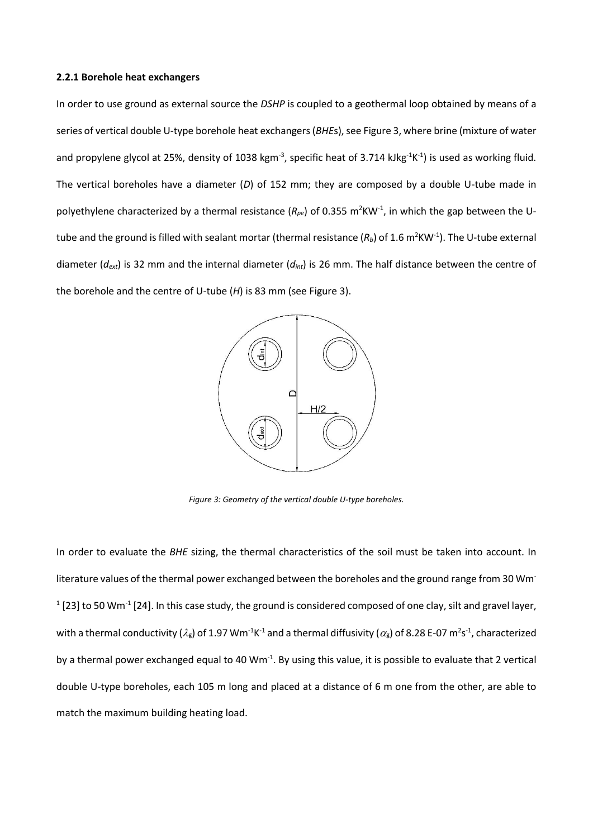#### **2.2.1 Borehole heat exchangers**

In order to use ground as external source the *DSHP* is coupled to a geothermal loop obtained by means of a series of vertical double U-type borehole heat exchangers (*BHE*s), see [Figure 3,](#page-10-0) where brine (mixture of water and propylene glycol at 25%, density of 1038 kgm<sup>-3</sup>, specific heat of 3.714 kJkg<sup>-1</sup>K<sup>-1</sup>) is used as working fluid. The vertical boreholes have a diameter (*D*) of 152 mm; they are composed by a double U-tube made in polyethylene characterized by a thermal resistance (R<sub>pe</sub>) of 0.355 m<sup>2</sup>KW<sup>-1</sup>, in which the gap between the Utube and the ground is filled with sealant mortar (thermal resistance  $(R_b)$  of 1.6 m<sup>2</sup>KW<sup>-1</sup>). The U-tube external diameter (*dext*) is 32 mm and the internal diameter (*dint*) is 26 mm. The half distance between the centre of the borehole and the centre of U-tube (*H*) is 83 mm (see Figure 3).



<span id="page-10-0"></span>*Figure 3: Geometry of the vertical double U-type boreholes.*

In order to evaluate the *BHE* sizing, the thermal characteristics of the soil must be taken into account. In literature values of the thermal power exchanged between the boreholes and the ground range from 30 Wm<sup>-</sup>  $1$  [23] to 50 Wm<sup>-1</sup> [24]. In this case study, the ground is considered composed of one clay, silt and gravel layer, with a thermal conductivity ( $\lambda_g$ ) of 1.97 Wm<sup>-1</sup>K<sup>-1</sup> and a thermal diffusivity ( $\alpha_g$ ) of 8.28 E-07 m<sup>2</sup>s<sup>-1</sup>, characterized by a thermal power exchanged equal to 40  $Wm^{-1}$ . By using this value, it is possible to evaluate that 2 vertical double U-type boreholes, each 105 m long and placed at a distance of 6 m one from the other, are able to match the maximum building heating load.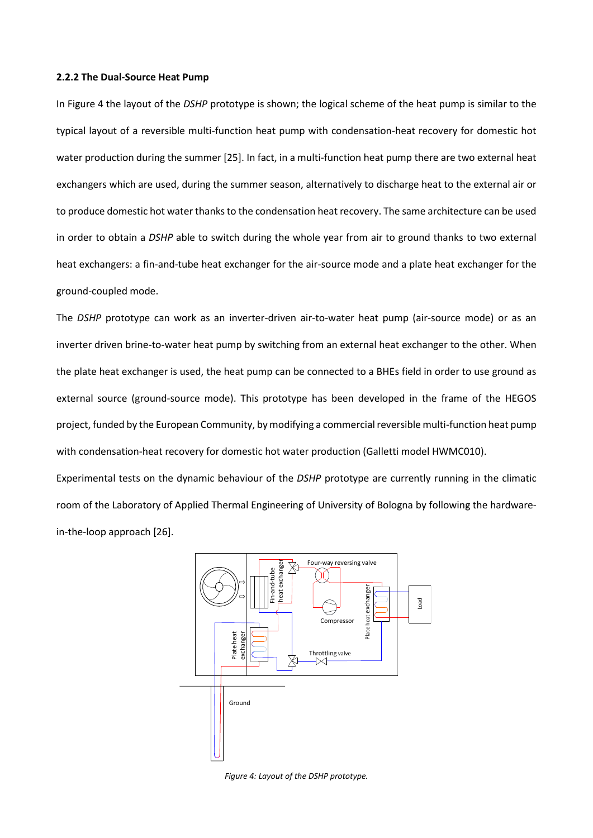#### **2.2.2 The Dual-Source Heat Pump**

In [Figure 4](#page-11-0) the layout of the *DSHP* prototype is shown; the logical scheme of the heat pump is similar to the typical layout of a reversible multi-function heat pump with condensation-heat recovery for domestic hot water production during the summer [25]. In fact, in a multi-function heat pump there are two external heat exchangers which are used, during the summer season, alternatively to discharge heat to the external air or to produce domestic hot water thanks to the condensation heat recovery. The same architecture can be used in order to obtain a *DSHP* able to switch during the whole year from air to ground thanks to two external heat exchangers: a fin-and-tube heat exchanger for the air-source mode and a plate heat exchanger for the ground-coupled mode.

The *DSHP* prototype can work as an inverter-driven air-to-water heat pump (air-source mode) or as an inverter driven brine-to-water heat pump by switching from an external heat exchanger to the other. When the plate heat exchanger is used, the heat pump can be connected to a BHEs field in order to use ground as external source (ground-source mode). This prototype has been developed in the frame of the HEGOS project, funded by the European Community, by modifying a commercial reversible multi-function heat pump with condensation-heat recovery for domestic hot water production (Galletti model HWMC010).

Experimental tests on the dynamic behaviour of the *DSHP* prototype are currently running in the climatic room of the Laboratory of Applied Thermal Engineering of University of Bologna by following the hardwarein-the-loop approach [26].



<span id="page-11-0"></span>*Figure 4: Layout of the DSHP prototype.*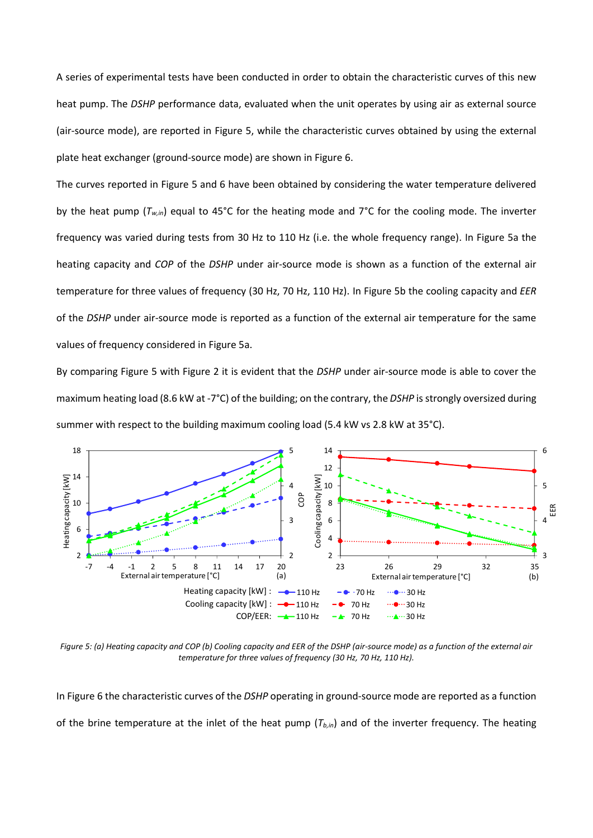A series of experimental tests have been conducted in order to obtain the characteristic curves of this new heat pump. The *DSHP* performance data, evaluated when the unit operates by using air as external source (air-source mode), are reported in [Figure 5,](#page-12-0) while the characteristic curves obtained by using the external plate heat exchanger (ground-source mode) are shown in [Figure 6.](#page-13-0)

The curves reported in Figure 5 and 6 have been obtained by considering the water temperature delivered by the heat pump (*Tw,in*) equal to 45°C for the heating mode and 7°C for the cooling mode. The inverter frequency was varied during tests from 30 Hz to 110 Hz (i.e. the whole frequency range). In Figure 5a the heating capacity and *COP* of the *DSHP* under air-source mode is shown as a function of the external air temperature for three values of frequency (30 Hz, 70 Hz, 110 Hz). In Figure 5b the cooling capacity and *EER* of the *DSHP* under air-source mode is reported as a function of the external air temperature for the same values of frequency considered in Figure 5a.

By comparing Figure 5 with Figure 2 it is evident that the *DSHP* under air-source mode is able to cover the maximum heating load (8.6 kW at -7°C) of the building; on the contrary, the *DSHP* is strongly oversized during summer with respect to the building maximum cooling load (5.4 kW vs 2.8 kW at 35°C).



<span id="page-12-0"></span>*Figure 5: (a) Heating capacity and COP (b) Cooling capacity and EER of the DSHP (air-source mode) as a function of the external air temperature for three values of frequency (30 Hz, 70 Hz, 110 Hz).*

I[n Figure 6](#page-13-0) the characteristic curves of the *DSHP* operating in ground-source mode are reported as a function of the brine temperature at the inlet of the heat pump (*Tb,in*) and of the inverter frequency. The heating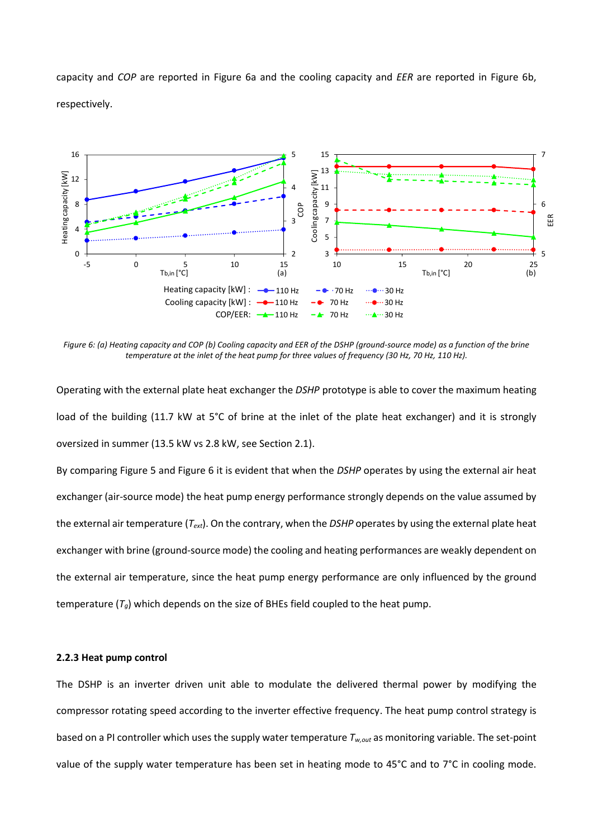capacity and *COP* are reported in [Figure 6a](#page-13-0) and the cooling capacity and *EER* are reported in [Figure 6b](#page-13-0), respectively.



<span id="page-13-0"></span>*Figure 6: (a) Heating capacity and COP (b) Cooling capacity and EER of the DSHP (ground-source mode) as a function of the brine temperature at the inlet of the heat pump for three values of frequency (30 Hz, 70 Hz, 110 Hz).*

Operating with the external plate heat exchanger the *DSHP* prototype is able to cover the maximum heating load of the building (11.7 kW at 5°C of brine at the inlet of the plate heat exchanger) and it is strongly oversized in summer (13.5 kW vs 2.8 kW, see Section 2.1).

By comparing Figure 5 and Figure 6 it is evident that when the *DSHP* operates by using the external air heat exchanger (air-source mode) the heat pump energy performance strongly depends on the value assumed by the external air temperature (*Text*). On the contrary, when the *DSHP* operates by using the external plate heat exchanger with brine (ground-source mode) the cooling and heating performances are weakly dependent on the external air temperature, since the heat pump energy performance are only influenced by the ground temperature  $(T_q)$  which depends on the size of BHEs field coupled to the heat pump.

#### **2.2.3 Heat pump control**

The DSHP is an inverter driven unit able to modulate the delivered thermal power by modifying the compressor rotating speed according to the inverter effective frequency. The heat pump control strategy is based on a PI controller which uses the supply water temperature *Tw,out* as monitoring variable. The set-point value of the supply water temperature has been set in heating mode to 45°C and to 7°C in cooling mode.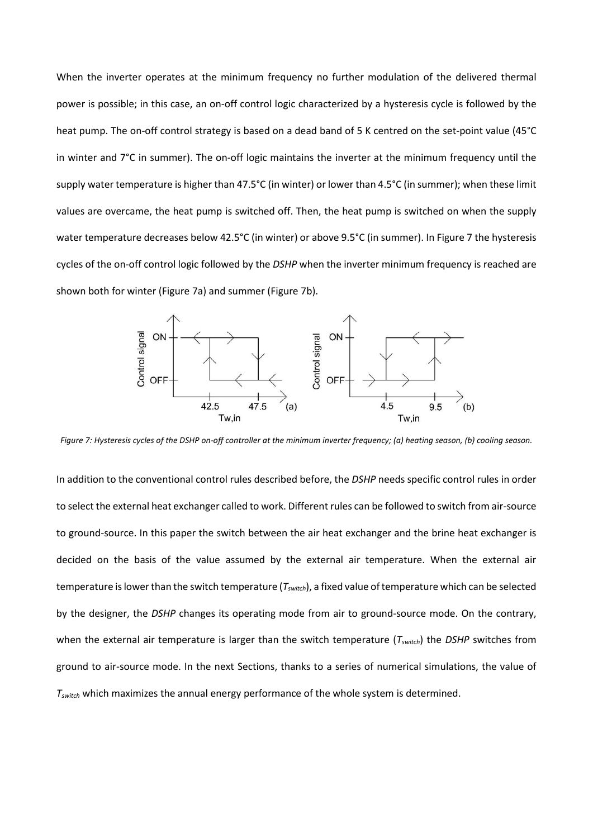When the inverter operates at the minimum frequency no further modulation of the delivered thermal power is possible; in this case, an on-off control logic characterized by a hysteresis cycle is followed by the heat pump. The on-off control strategy is based on a dead band of 5 K centred on the set-point value (45°C in winter and 7°C in summer). The on-off logic maintains the inverter at the minimum frequency until the supply water temperature is higher than 47.5°C (in winter) or lower than 4.5°C (in summer); when these limit values are overcame, the heat pump is switched off. Then, the heat pump is switched on when the supply water temperature decreases below 42.5°C (in winter) or above 9.5°C (in summer). In Figure 7 the hysteresis cycles of the on-off control logic followed by the *DSHP* when the inverter minimum frequency is reached are shown both for winter (Figure 7a) and summer (Figure 7b).



*Figure 7: Hysteresis cycles of the DSHP on-off controller at the minimum inverter frequency; (a) heating season, (b) cooling season.*

In addition to the conventional control rules described before, the *DSHP* needs specific control rules in order to select the external heat exchanger called to work. Different rules can be followed to switch from air-source to ground-source. In this paper the switch between the air heat exchanger and the brine heat exchanger is decided on the basis of the value assumed by the external air temperature. When the external air temperature is lower than the switch temperature (*Tswitch*), a fixed value of temperature which can be selected by the designer, the *DSHP* changes its operating mode from air to ground-source mode. On the contrary, when the external air temperature is larger than the switch temperature (*Tswitch*) the *DSHP* switches from ground to air-source mode. In the next Sections, thanks to a series of numerical simulations, the value of *Tswitch* which maximizes the annual energy performance of the whole system is determined.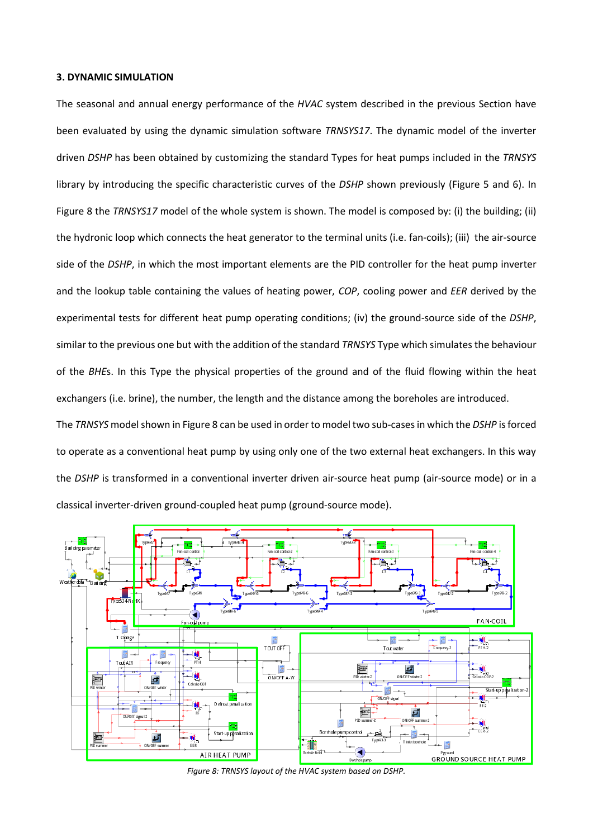#### **3. DYNAMIC SIMULATION**

The seasonal and annual energy performance of the *HVAC* system described in the previous Section have been evaluated by using the dynamic simulation software *TRNSYS17*. The dynamic model of the inverter driven *DSHP* has been obtained by customizing the standard Types for heat pumps included in the *TRNSYS* library by introducing the specific characteristic curves of the *DSHP* shown previously (Figure 5 and 6). In [Figure 8](#page-15-0) the *TRNSYS17* model of the whole system is shown. The model is composed by: (i) the building; (ii) the hydronic loop which connects the heat generator to the terminal units (i.e. fan-coils); (iii) the air-source side of the *DSHP*, in which the most important elements are the PID controller for the heat pump inverter and the lookup table containing the values of heating power, *COP*, cooling power and *EER* derived by the experimental tests for different heat pump operating conditions; (iv) the ground-source side of the *DSHP*, similar to the previous one but with the addition of the standard *TRNSYS* Type which simulates the behaviour of the *BHE*s. In this Type the physical properties of the ground and of the fluid flowing within the heat exchangers (i.e. brine), the number, the length and the distance among the boreholes are introduced.

The *TRNSYS* model shown in Figure 8 can be used in order to model two sub-cases in which the *DSHP* is forced to operate as a conventional heat pump by using only one of the two external heat exchangers. In this way the *DSHP* is transformed in a conventional inverter driven air-source heat pump (air-source mode) or in a classical inverter-driven ground-coupled heat pump (ground-source mode).



<span id="page-15-0"></span>*Figure 8: TRNSYS layout of the HVAC system based on DSHP.*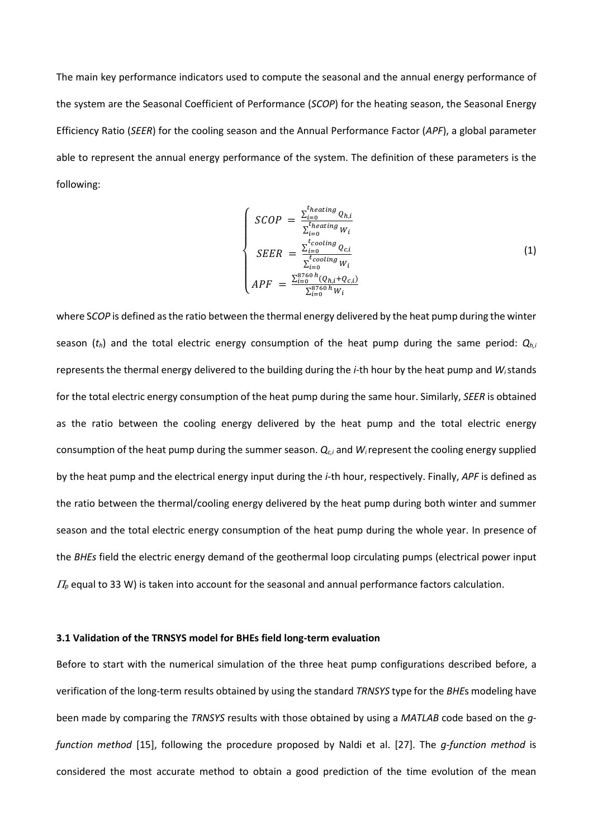The main key performance indicators used to compute the seasonal and the annual energy performance of the system are the Seasonal Coefficient of Performance (*SCOP*) for the heating season, the Seasonal Energy Efficiency Ratio (*SEER*) for the cooling season and the Annual Performance Factor (*APF*), a global parameter able to represent the annual energy performance of the system. The definition of these parameters is the following:

$$
\begin{cases}\nSCOP = \frac{\sum_{i=0}^{t_{heating}} Q_{h,i}}{\sum_{i=0}^{t_{heating}} W_i} \\
SEER = \frac{\sum_{i=0}^{t_{cooling}} Q_{c,i}}{\sum_{i=0}^{t_{cooling}} W_i} \\
APF = \frac{\sum_{i=0}^{8760} {}^{h} (Q_{h,i} + Q_{c,i})}{\sum_{i=0}^{8760} {}^{h} W_i}\n\end{cases}
$$
\n(1)

where S*COP* is defined as the ratio between the thermal energy delivered by the heat pump during the winter season (*th*) and the total electric energy consumption of the heat pump during the same period: *Qh,i* represents the thermal energy delivered to the building during the *i*-th hour by the heat pump and *Wi*stands for the total electric energy consumption of the heat pump during the same hour. Similarly, *SEER* is obtained as the ratio between the cooling energy delivered by the heat pump and the total electric energy consumption of the heat pump during the summer season. *Qc,i* and *Wi* represent the cooling energy supplied by the heat pump and the electrical energy input during the *i*-th hour, respectively. Finally, *APF* is defined as the ratio between the thermal/cooling energy delivered by the heat pump during both winter and summer season and the total electric energy consumption of the heat pump during the whole year. In presence of the *BHEs* field the electric energy demand of the geothermal loop circulating pumps (electrical power input  $\Pi_p$  equal to 33 W) is taken into account for the seasonal and annual performance factors calculation.

# **3.1 Validation of the TRNSYS model for BHEs field long-term evaluation**

Before to start with the numerical simulation of the three heat pump configurations described before, a verification of the long-term results obtained by using the standard *TRNSYS* type for the *BHE*s modeling have been made by comparing the *TRNSYS* results with those obtained by using a *MATLAB* code based on the *gfunction method* [15], following the procedure proposed by Naldi et al. [27]. The *g-function method* is considered the most accurate method to obtain a good prediction of the time evolution of the mean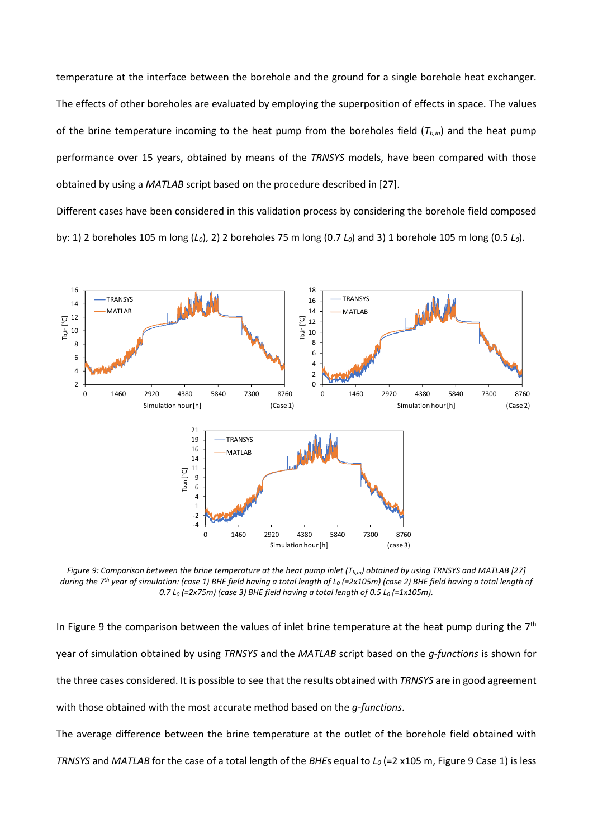temperature at the interface between the borehole and the ground for a single borehole heat exchanger. The effects of other boreholes are evaluated by employing the superposition of effects in space. The values of the brine temperature incoming to the heat pump from the boreholes field  $(T_{b,in})$  and the heat pump performance over 15 years, obtained by means of the *TRNSYS* models, have been compared with those obtained by using a *MATLAB* script based on the procedure described in [27].

Different cases have been considered in this validation process by considering the borehole field composed by: 1) 2 boreholes 105 m long (*L0*), 2) 2 boreholes 75 m long (0.7 *L0*) and 3) 1 borehole 105 m long (0.5 *L0*).



<span id="page-17-0"></span>*Figure 9: Comparison between the brine temperature at the heat pump inlet (Tb,in) obtained by using TRNSYS and MATLAB [27] during the 7th year of simulation: (case 1) BHE field having a total length of L<sup>0</sup> (=2x105m) (case 2) BHE field having a total length of 0.7 L<sup>0</sup> (=2x75m) (case 3) BHE field having a total length of 0.5 L<sup>0</sup> (=1x105m).*

In [Figure 9](#page-17-0) the comparison between the values of inlet brine temperature at the heat pump during the  $7<sup>th</sup>$ year of simulation obtained by using *TRNSYS* and the *MATLAB* script based on the *g-functions* is shown for the three cases considered. It is possible to see that the results obtained with *TRNSYS* are in good agreement with those obtained with the most accurate method based on the *g-functions*.

The average difference between the brine temperature at the outlet of the borehole field obtained with *TRNSYS* and *MATLAB* for the case of a total length of the *BHE*s equal to *L<sup>0</sup>* (=2 x105 m, Figure 9 Case 1) is less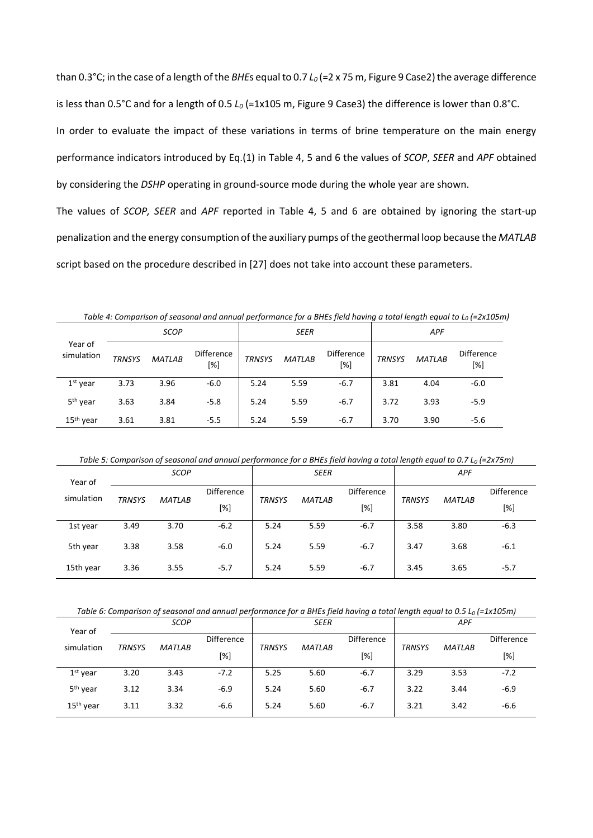than 0.3°C; in the case of a length of the *BHE*s equal to 0.7 *L<sup>0</sup>* (=2 x 75 m, Figure 9 Case2) the average difference is less than 0.5°C and for a length of 0.5 *L<sup>0</sup>* (=1x105 m, Figure 9 Case3) the difference is lower than 0.8°C. In order to evaluate the impact of these variations in terms of brine temperature on the main energy performance indicators introduced by Eq.(1) in [Table 4,](#page-18-0) 5 and 6 the values of *SCOP*, *SEER* and *APF* obtained by considering the *DSHP* operating in ground-source mode during the whole year are shown.

The values of *SCOP, SEER* and *APF* reported in Table 4, 5 and 6 are obtained by ignoring the start-up penalization and the energy consumption of the auxiliary pumps of the geothermal loop because the *MATLAB* script based on the procedure described in [27] does not take into account these parameters.

<span id="page-18-0"></span>

| rabic 4. Companson of seasonarana annual performance for a brits field huving a total length equal to the l-zx103m |               |               |                          |               |               |                          |               |               |                          |  |
|--------------------------------------------------------------------------------------------------------------------|---------------|---------------|--------------------------|---------------|---------------|--------------------------|---------------|---------------|--------------------------|--|
|                                                                                                                    |               | <b>SCOP</b>   |                          |               | <b>SEER</b>   |                          |               | <b>APF</b>    |                          |  |
| Year of<br>simulation                                                                                              | <b>TRNSYS</b> | <b>MATLAB</b> | <b>Difference</b><br>[%] | <b>TRNSYS</b> | <b>MATLAB</b> | <b>Difference</b><br>[%] | <b>TRNSYS</b> | <b>MATLAB</b> | <b>Difference</b><br>[%] |  |
| $1st$ vear                                                                                                         | 3.73          | 3.96          | $-6.0$                   | 5.24          | 5.59          | $-6.7$                   | 3.81          | 4.04          | $-6.0$                   |  |
| 5 <sup>th</sup> year                                                                                               | 3.63          | 3.84          | $-5.8$                   | 5.24          | 5.59          | $-6.7$                   | 3.72          | 3.93          | $-5.9$                   |  |
| 15 <sup>th</sup> year                                                                                              | 3.61          | 3.81          | $-5.5$                   | 5.24          | 5.59          | $-6.7$                   | 3.70          | 3.90          | $-5.6$                   |  |

*Table 4: Comparison of seasonal and annual performance for a BHEs field having a total length equal to L<sup>0</sup> (=2x105m)*

*Table 5: Comparison of seasonal and annual performance for a BHEs field having a total length equal to 0.7 L<sup>0</sup> (=2x75m)*

| Year of    |               | <b>SCOP</b>   |            | <b>SEER</b>   |               |            | APF           |               |            |
|------------|---------------|---------------|------------|---------------|---------------|------------|---------------|---------------|------------|
| simulation | <b>TRNSYS</b> | <b>MATLAB</b> | Difference | <b>TRNSYS</b> | <b>MATLAB</b> | Difference | <b>TRNSYS</b> | <b>MATLAB</b> | Difference |
|            |               |               | [%]        |               |               | $[\%]$     |               |               | [%]        |
| 1st year   | 3.49          | 3.70          | $-6.2$     | 5.24          | 5.59          | $-6.7$     | 3.58          | 3.80          | $-6.3$     |
| 5th year   | 3.38          | 3.58          | $-6.0$     | 5.24          | 5.59          | $-6.7$     | 3.47          | 3.68          | $-6.1$     |
| 15th year  | 3.36          | 3.55          | $-5.7$     | 5.24          | 5.59          | $-6.7$     | 3.45          | 3.65          | $-5.7$     |

*Table 6: Comparison of seasonal and annual performance for a BHEs field having a total length equal to 0.5 L<sup>0</sup> (=1x105m)*

| Year of               | <b>SCOP</b>   |               |                   | <b>SEER</b>   |               |                                                                                                                                                                                                                      | <b>APF</b>    |               |                   |
|-----------------------|---------------|---------------|-------------------|---------------|---------------|----------------------------------------------------------------------------------------------------------------------------------------------------------------------------------------------------------------------|---------------|---------------|-------------------|
| simulation            | <b>TRNSYS</b> | <b>MATLAB</b> | <b>Difference</b> | <b>TRNSYS</b> | <b>MATLAB</b> | <b>Difference</b>                                                                                                                                                                                                    | <b>TRNSYS</b> | <b>MATLAB</b> | <b>Difference</b> |
|                       |               |               | [%]               |               |               | $[%] % \begin{center} \includegraphics[width=0.3\textwidth]{images/Trigers.png} \end{center} % \vspace*{-1em} \caption{The figure shows the results of the estimators in the left and right.} \label{fig:Trigers} %$ |               |               | [%]               |
| $1st$ year            | 3.20          | 3.43          | $-7.2$            | 5.25          | 5.60          | $-6.7$                                                                                                                                                                                                               | 3.29          | 3.53          | $-7.2$            |
| 5 <sup>th</sup> year  | 3.12          | 3.34          | $-6.9$            | 5.24          | 5.60          | $-6.7$                                                                                                                                                                                                               | 3.22          | 3.44          | $-6.9$            |
| 15 <sup>th</sup> year | 3.11          | 3.32          | $-6.6$            | 5.24          | 5.60          | $-6.7$                                                                                                                                                                                                               | 3.21          | 3.42          | $-6.6$            |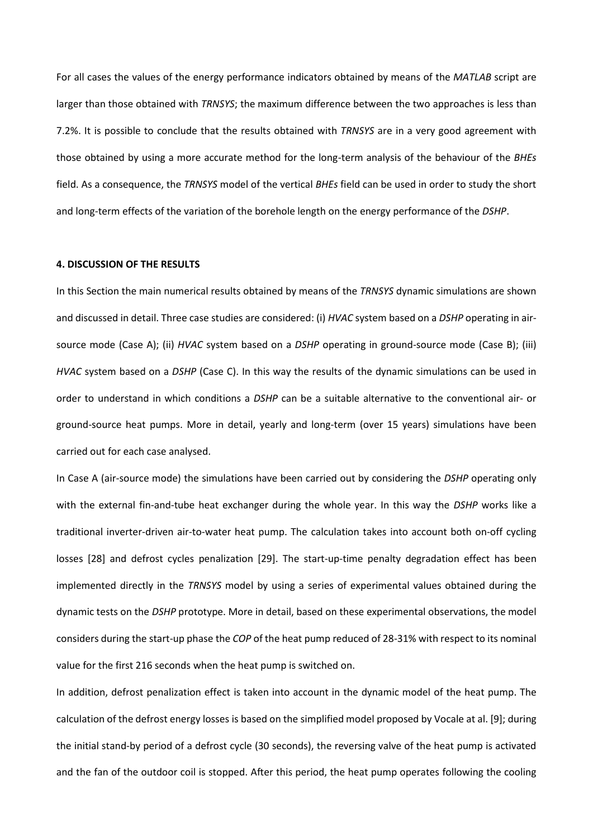For all cases the values of the energy performance indicators obtained by means of the *MATLAB* script are larger than those obtained with *TRNSYS*; the maximum difference between the two approaches is less than 7.2%. It is possible to conclude that the results obtained with *TRNSYS* are in a very good agreement with those obtained by using a more accurate method for the long-term analysis of the behaviour of the *BHEs* field. As a consequence, the *TRNSYS* model of the vertical *BHEs* field can be used in order to study the short and long-term effects of the variation of the borehole length on the energy performance of the *DSHP*.

#### **4. DISCUSSION OF THE RESULTS**

In this Section the main numerical results obtained by means of the *TRNSYS* dynamic simulations are shown and discussed in detail. Three case studies are considered: (i) *HVAC* system based on a *DSHP* operating in airsource mode (Case A); (ii) *HVAC* system based on a *DSHP* operating in ground-source mode (Case B); (iii) *HVAC* system based on a *DSHP* (Case C). In this way the results of the dynamic simulations can be used in order to understand in which conditions a *DSHP* can be a suitable alternative to the conventional air- or ground-source heat pumps. More in detail, yearly and long-term (over 15 years) simulations have been carried out for each case analysed.

In Case A (air-source mode) the simulations have been carried out by considering the *DSHP* operating only with the external fin-and-tube heat exchanger during the whole year. In this way the *DSHP* works like a traditional inverter-driven air-to-water heat pump. The calculation takes into account both on-off cycling losses [28] and defrost cycles penalization [29]. The start-up-time penalty degradation effect has been implemented directly in the *TRNSYS* model by using a series of experimental values obtained during the dynamic tests on the *DSHP* prototype. More in detail, based on these experimental observations, the model considers during the start-up phase the *COP* of the heat pump reduced of 28-31% with respect to its nominal value for the first 216 seconds when the heat pump is switched on.

In addition, defrost penalization effect is taken into account in the dynamic model of the heat pump. The calculation of the defrost energy losses is based on the simplified model proposed by Vocale at al. [9]; during the initial stand-by period of a defrost cycle (30 seconds), the reversing valve of the heat pump is activated and the fan of the outdoor coil is stopped. After this period, the heat pump operates following the cooling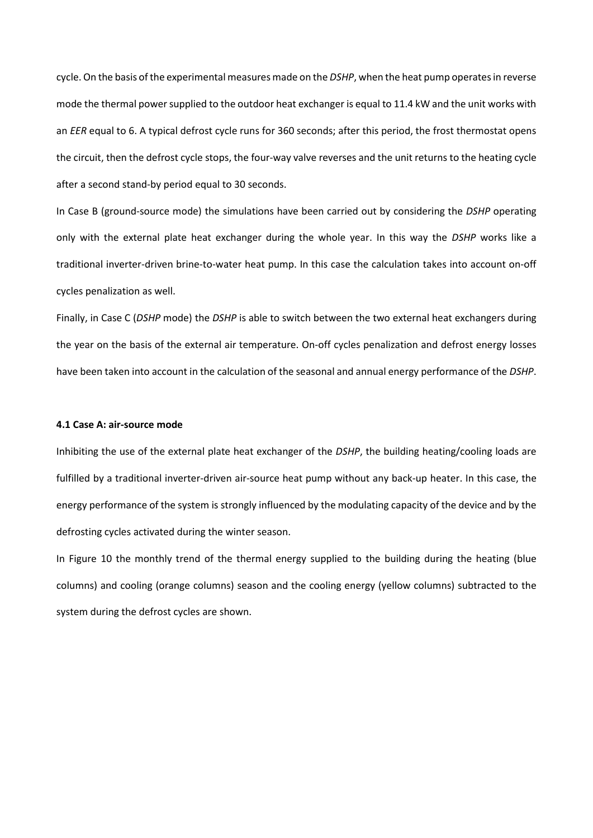cycle. On the basis ofthe experimental measures made on the *DSHP*, when the heat pump operates in reverse mode the thermal power supplied to the outdoor heat exchanger is equal to 11.4 kW and the unit works with an *EER* equal to 6. A typical defrost cycle runs for 360 seconds; after this period, the frost thermostat opens the circuit, then the defrost cycle stops, the four-way valve reverses and the unit returns to the heating cycle after a second stand-by period equal to 30 seconds.

In Case B (ground-source mode) the simulations have been carried out by considering the *DSHP* operating only with the external plate heat exchanger during the whole year. In this way the *DSHP* works like a traditional inverter-driven brine-to-water heat pump. In this case the calculation takes into account on-off cycles penalization as well.

Finally, in Case C (*DSHP* mode) the *DSHP* is able to switch between the two external heat exchangers during the year on the basis of the external air temperature. On-off cycles penalization and defrost energy losses have been taken into account in the calculation of the seasonal and annual energy performance of the *DSHP*.

#### **4.1 Case A: air-source mode**

Inhibiting the use of the external plate heat exchanger of the *DSHP*, the building heating/cooling loads are fulfilled by a traditional inverter-driven air-source heat pump without any back-up heater. In this case, the energy performance of the system is strongly influenced by the modulating capacity of the device and by the defrosting cycles activated during the winter season.

In [Figure 10](#page-21-0) the monthly trend of the thermal energy supplied to the building during the heating (blue columns) and cooling (orange columns) season and the cooling energy (yellow columns) subtracted to the system during the defrost cycles are shown.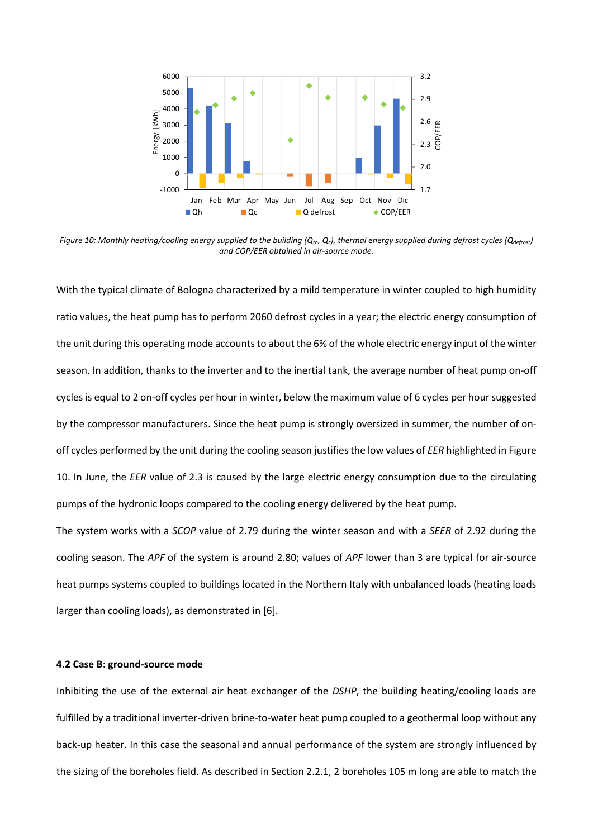

<span id="page-21-0"></span>*Figure 10: Monthly heating/cooling energy supplied to the building (Qth, Qc), thermal energy supplied during defrost cycles (Qdefrost) and COP/EER obtained in air-source mode.*

With the typical climate of Bologna characterized by a mild temperature in winter coupled to high humidity ratio values, the heat pump has to perform 2060 defrost cycles in a year; the electric energy consumption of the unit during this operating mode accounts to about the 6% of the whole electric energy input of the winter season. In addition, thanks to the inverter and to the inertial tank, the average number of heat pump on-off cycles is equal to 2 on-off cycles per hour in winter, below the maximum value of 6 cycles per hoursuggested by the compressor manufacturers. Since the heat pump is strongly oversized in summer, the number of onoff cycles performed by the unit during the cooling season justifies the low values of *EER* highlighted in Figure 10. In June, the *EER* value of 2.3 is caused by the large electric energy consumption due to the circulating pumps of the hydronic loops compared to the cooling energy delivered by the heat pump.

The system works with a *SCOP* value of 2.79 during the winter season and with a *SEER* of 2.92 during the cooling season. The *APF* of the system is around 2.80; values of *APF* lower than 3 are typical for air-source heat pumps systems coupled to buildings located in the Northern Italy with unbalanced loads (heating loads larger than cooling loads), as demonstrated in [6].

#### **4.2 Case B: ground-source mode**

Inhibiting the use of the external air heat exchanger of the *DSHP*, the building heating/cooling loads are fulfilled by a traditional inverter-driven brine-to-water heat pump coupled to a geothermal loop without any back-up heater. In this case the seasonal and annual performance of the system are strongly influenced by the sizing of the boreholes field. As described in Section 2.2.1, 2 boreholes 105 m long are able to match the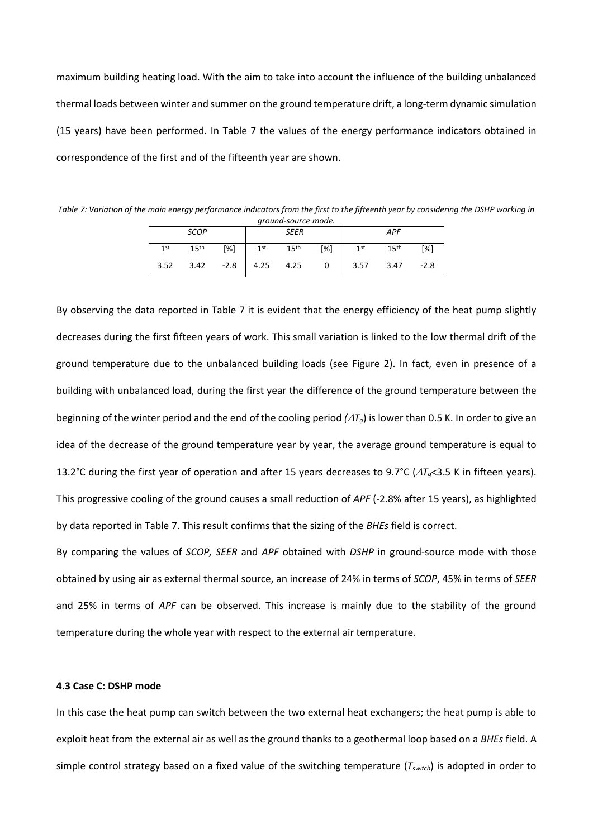maximum building heating load. With the aim to take into account the influence of the building unbalanced thermal loads between winter and summer on the ground temperature drift, a long-term dynamic simulation (15 years) have been performed. In [Table 7](#page-22-0) the values of the energy performance indicators obtained in correspondence of the first and of the fifteenth year are shown.

<span id="page-22-0"></span>*Table 7: Variation of the main energy performance indicators from the first to the fifteenth year by considering the DSHP working in ground-source mode.*

| ground source mode. |                 |                  |        |                  |                  |                         |                 |                  |        |
|---------------------|-----------------|------------------|--------|------------------|------------------|-------------------------|-----------------|------------------|--------|
|                     |                 | <b>SCOP</b>      |        | <b>SEER</b>      |                  |                         | <b>APF</b>      |                  |        |
|                     | 1 <sub>st</sub> | 15 <sup>th</sup> | $[\%]$ | 1 <sup>st</sup>  | 15 <sup>th</sup> | [%]                     | 1 <sup>st</sup> | 15 <sup>th</sup> | [%]    |
|                     | 3.52            | 3.42             |        | $-2.8$ 4.25 4.25 |                  | $\overline{\mathbf{0}}$ | 3.57            | 3.47             | $-2.8$ |

By observing the data reported in Table 7 it is evident that the energy efficiency of the heat pump slightly decreases during the first fifteen years of work. This small variation is linked to the low thermal drift of the ground temperature due to the unbalanced building loads (see Figure 2). In fact, even in presence of a building with unbalanced load, during the first year the difference of the ground temperature between the beginning of the winter period and the end of the cooling period  $(\Delta T_g)$  is lower than 0.5 K. In order to give an idea of the decrease of the ground temperature year by year, the average ground temperature is equal to 13.2°C during the first year of operation and after 15 years decreases to 9.7°C ( $\Delta T_q$ <3.5 K in fifteen years). This progressive cooling of the ground causes a small reduction of *APF* (-2.8% after 15 years), as highlighted by data reported in [Table 7.](#page-22-0) This result confirms that the sizing of the *BHEs* field is correct.

By comparing the values of *SCOP, SEER* and *APF* obtained with *DSHP* in ground-source mode with those obtained by using air as external thermal source, an increase of 24% in terms of *SCOP*, 45% in terms of *SEER* and 25% in terms of *APF* can be observed. This increase is mainly due to the stability of the ground temperature during the whole year with respect to the external air temperature.

#### **4.3 Case C: DSHP mode**

In this case the heat pump can switch between the two external heat exchangers; the heat pump is able to exploit heat from the external air as well as the ground thanks to a geothermal loop based on a *BHEs* field. A simple control strategy based on a fixed value of the switching temperature (*Tswitch*) is adopted in order to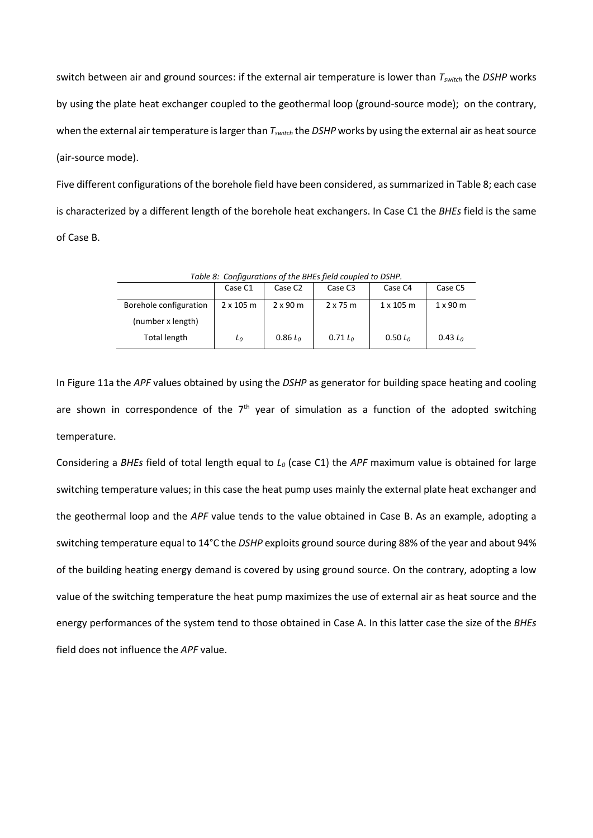switch between air and ground sources: if the external air temperature is lower than *Tswitch* the *DSHP* works by using the plate heat exchanger coupled to the geothermal loop (ground-source mode); on the contrary, when the external air temperature is larger than *Tswitch* the *DSHP* works by using the external air as heat source (air-source mode).

Five different configurations of the borehole field have been considered, as summarized in Table 8; each case is characterized by a different length of the borehole heat exchangers. In Case C1 the *BHEs* field is the same of Case B.

| Table 8: Configurations of the BHES field coupled to DSHP. |                  |                     |                     |                  |                 |  |  |
|------------------------------------------------------------|------------------|---------------------|---------------------|------------------|-----------------|--|--|
|                                                            | Case C1          | Case C <sub>2</sub> | Case C <sub>3</sub> | Case C4          | Case C5         |  |  |
| Borehole configuration                                     | $2 \times 105$ m | $2 \times 90$ m     | $2 \times 75$ m     | $1 \times 105$ m | $1 \times 90$ m |  |  |
| (number x length)                                          |                  |                     |                     |                  |                 |  |  |
| Total length                                               | L <sub>0</sub>   | $0.86 L_0$          | $0.71 L_0$          | 0.50 $L_0$       | 0.43 $L_0$      |  |  |

*Table 8: Configurations of the BHEs field coupled to DSHP.*

I[n Figure 11a](#page-24-0) the *APF* values obtained by using the *DSHP* as generator for building space heating and cooling are shown in correspondence of the  $7<sup>th</sup>$  year of simulation as a function of the adopted switching temperature.

Considering a *BHEs* field of total length equal to *L<sup>0</sup>* (case C1) the *APF* maximum value is obtained for large switching temperature values; in this case the heat pump uses mainly the external plate heat exchanger and the geothermal loop and the *APF* value tends to the value obtained in Case B. As an example, adopting a switching temperature equal to 14°C the *DSHP* exploits ground source during 88% of the year and about 94% of the building heating energy demand is covered by using ground source. On the contrary, adopting a low value of the switching temperature the heat pump maximizes the use of external air as heat source and the energy performances of the system tend to those obtained in Case A. In this latter case the size of the *BHEs* field does not influence the *APF* value.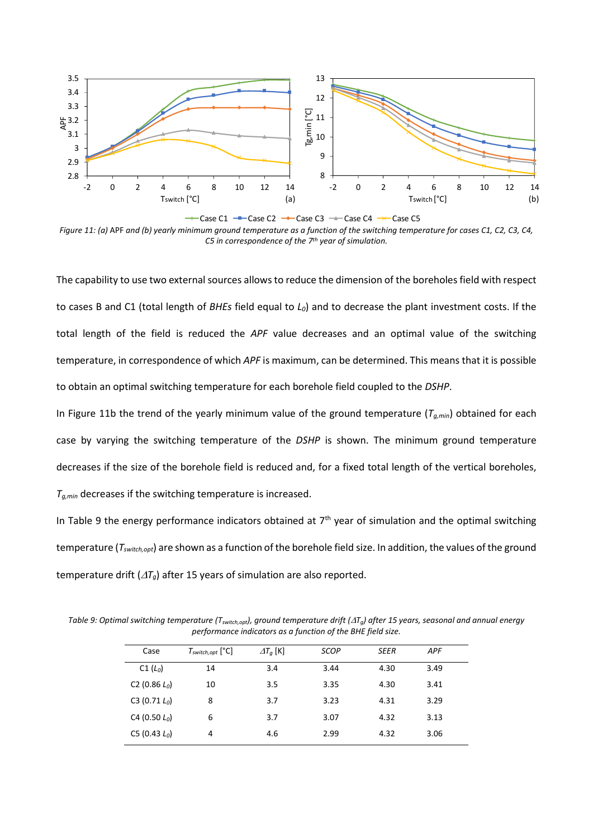

<span id="page-24-0"></span>*Figure 11: (a)* APF *and (b) yearly minimum ground temperature as a function of the switching temperature for cases C1, C2, C3, C4, C5 in correspondence of the 7 th year of simulation.*

The capability to use two external sources allows to reduce the dimension of the boreholes field with respect to cases B and C1 (total length of *BHEs* field equal to *L0*) and to decrease the plant investment costs. If the total length of the field is reduced the *APF* value decreases and an optimal value of the switching temperature, in correspondence of which *APF* is maximum, can be determined. This means that it is possible to obtain an optimal switching temperature for each borehole field coupled to the *DSHP*.

In [Figure 11b](#page-24-0) the trend of the yearly minimum value of the ground temperature (*Tg,min*) obtained for each case by varying the switching temperature of the *DSHP* is shown. The minimum ground temperature decreases if the size of the borehole field is reduced and, for a fixed total length of the vertical boreholes, *Tg,min* decreases if the switching temperature is increased.

In Table 9 the energy performance indicators obtained at  $7<sup>th</sup>$  year of simulation and the optimal switching temperature (*Tswitch,opt*) are shown as a function of the borehole field size. In addition, the values of the ground temperature drift  $(\Delta T_q)$  after 15 years of simulation are also reported.

*Table 9: Optimal switching temperature (Tswitch,opt), ground temperature drift (Tg) after 15 years, seasonal and annual energy performance indicators as a function of the BHE field size.*

| Case                         | $T_{switch,opt}$ [ $°C$ ] | $\varDelta T_q$ [K] | <b>SCOP</b> | <b>SEER</b> | <b>APF</b> |  |
|------------------------------|---------------------------|---------------------|-------------|-------------|------------|--|
| $C1(L_0)$                    | 14                        | 3.4                 | 3.44        | 4.30        | 3.49       |  |
| C <sub>2</sub> (0.86 $L_0$ ) | 10                        | 3.5                 | 3.35        | 4.30        | 3.41       |  |
| C3 (0.71 $L_0$ )             | 8                         | 3.7                 | 3.23        | 4.31        | 3.29       |  |
| C4 (0.50 $L_0$ )             | 6                         | 3.7                 | 3.07        | 4.32        | 3.13       |  |
| C5 (0.43 $L_0$ )             | 4                         | 4.6                 | 2.99        | 4.32        | 3.06       |  |
|                              |                           |                     |             |             |            |  |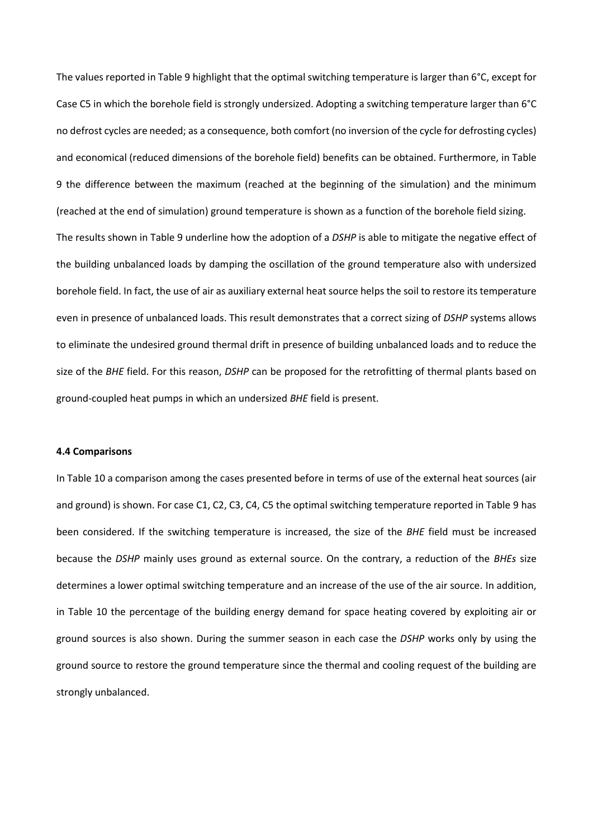The values reported in Table 9 highlight that the optimal switching temperature is larger than 6°C, except for Case C5 in which the borehole field is strongly undersized. Adopting a switching temperature larger than 6°C no defrost cycles are needed; as a consequence, both comfort (no inversion of the cycle for defrosting cycles) and economical (reduced dimensions of the borehole field) benefits can be obtained. Furthermore, in Table 9 the difference between the maximum (reached at the beginning of the simulation) and the minimum (reached at the end of simulation) ground temperature is shown as a function of the borehole field sizing. The results shown in Table 9 underline how the adoption of a *DSHP* is able to mitigate the negative effect of the building unbalanced loads by damping the oscillation of the ground temperature also with undersized borehole field. In fact, the use of air as auxiliary external heat source helps the soil to restore its temperature even in presence of unbalanced loads. This result demonstrates that a correct sizing of *DSHP* systems allows to eliminate the undesired ground thermal drift in presence of building unbalanced loads and to reduce the size of the *BHE* field. For this reason, *DSHP* can be proposed for the retrofitting of thermal plants based on ground-coupled heat pumps in which an undersized *BHE* field is present.

#### **4.4 Comparisons**

In Table 10 a comparison among the cases presented before in terms of use of the external heat sources (air and ground) is shown. For case C1, C2, C3, C4, C5 the optimal switching temperature reported in Table 9 has been considered. If the switching temperature is increased, the size of the *BHE* field must be increased because the *DSHP* mainly uses ground as external source. On the contrary, a reduction of the *BHEs* size determines a lower optimal switching temperature and an increase of the use of the air source. In addition, in Table 10 the percentage of the building energy demand for space heating covered by exploiting air or ground sources is also shown. During the summer season in each case the *DSHP* works only by using the ground source to restore the ground temperature since the thermal and cooling request of the building are strongly unbalanced.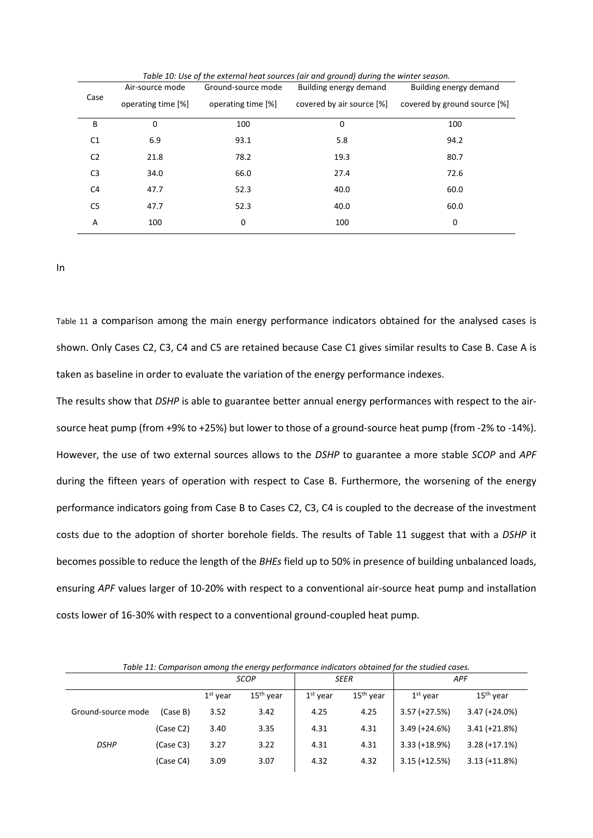|                | Air-source mode                          | Ground-source mode        | Building energy demand       | Building energy demand |
|----------------|------------------------------------------|---------------------------|------------------------------|------------------------|
| Case           | operating time [%]<br>operating time [%] | covered by air source [%] | covered by ground source [%] |                        |
| В              | 0                                        | 100                       | $\Omega$                     | 100                    |
| C <sub>1</sub> | 6.9                                      | 93.1                      | 5.8                          | 94.2                   |
| C <sub>2</sub> | 21.8                                     | 78.2                      | 19.3                         | 80.7                   |
| C <sub>3</sub> | 34.0                                     | 66.0                      | 27.4                         | 72.6                   |
| C <sub>4</sub> | 47.7                                     | 52.3                      | 40.0                         | 60.0                   |
| C5             | 47.7                                     | 52.3                      | 40.0                         | 60.0                   |
| A              | 100                                      | 0                         | 100                          | 0                      |

*Table 10: Use of the external heat sources (air and ground) during the winter season.*

I[n](#page-26-0) 

[Table 11](#page-26-0) a comparison among the main energy performance indicators obtained for the analysed cases is shown. Only Cases C2, C3, C4 and C5 are retained because Case C1 gives similar results to Case B. Case A is taken as baseline in order to evaluate the variation of the energy performance indexes.

The results show that *DSHP* is able to guarantee better annual energy performances with respect to the airsource heat pump (from +9% to +25%) but lower to those of a ground-source heat pump (from -2% to -14%). However, the use of two external sources allows to the *DSHP* to guarantee a more stable *SCOP* and *APF* during the fifteen years of operation with respect to Case B. Furthermore, the worsening of the energy performance indicators going from Case B to Cases C2, C3, C4 is coupled to the decrease of the investment costs due to the adoption of shorter borehole fields. The results of Table 11 suggest that with a *DSHP* it becomes possible to reduce the length of the *BHEs* field up to 50% in presence of building unbalanced loads, ensuring *APF* values larger of 10-20% with respect to a conventional air-source heat pump and installation costs lower of 16-30% with respect to a conventional ground-coupled heat pump.

| Table 11: Comparison among the energy performance indicators obtained for the studied cases. |           |             |                       |             |             |                 |                 |
|----------------------------------------------------------------------------------------------|-----------|-------------|-----------------------|-------------|-------------|-----------------|-----------------|
|                                                                                              |           | <b>SCOP</b> |                       | <b>SEER</b> |             | <b>APF</b>      |                 |
|                                                                                              |           | $1st$ year  | 15 <sup>th</sup> year | $1st$ year  | $15th$ year | $1st$ vear      | $15th$ vear     |
| Ground-source mode                                                                           | (Case B)  | 3.52        | 3.42                  | 4.25        | 4.25        | $3.57 (+27.5%)$ | $3.47 (+24.0%)$ |
|                                                                                              | (Case C2) | 3.40        | 3.35                  | 4.31        | 4.31        | $3.49 (+24.6%)$ | $3.41 (+21.8%)$ |
| <b>DSHP</b>                                                                                  | (Case C3) | 3.27        | 3.22                  | 4.31        | 4.31        | $3.33 (+18.9%)$ | $3.28 (+17.1%)$ |
|                                                                                              | (Case C4) | 3.09        | 3.07                  | 4.32        | 4.32        | $3.15 (+12.5%)$ | $3.13 (+11.8%)$ |

<span id="page-26-0"></span>*Table 11: Comparison among the energy performance indicators obtained for the studied cases.*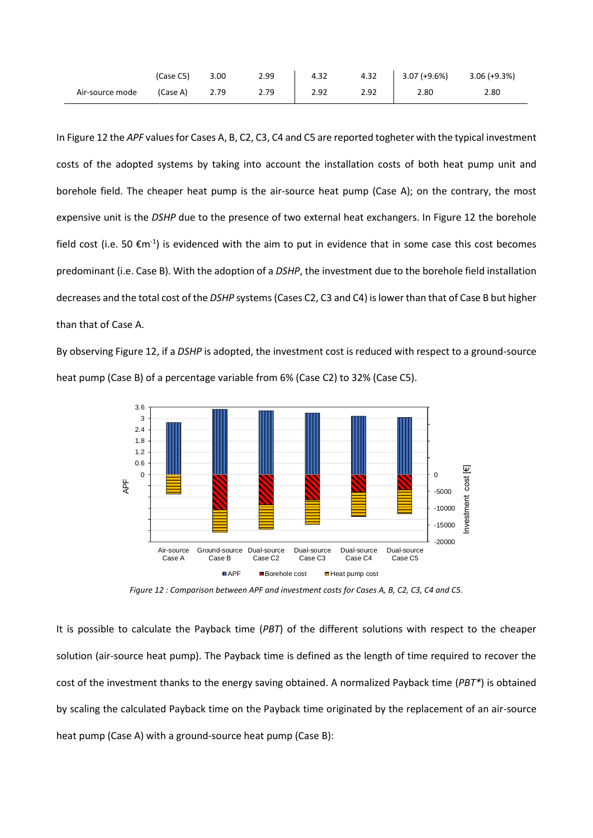|                 | (Case C5) | 3.00 | 2.99 | 4.32 | 4.32 | 3.07 (+9.6%) | $3.06 (+9.3%)$ |
|-----------------|-----------|------|------|------|------|--------------|----------------|
| Air-source mode | (Case A)  | 2.79 | 2.79 | 2.92 | 2.92 | 2.80         | 2.80           |

In Figure 12 the *APF* values for Cases A, B, C2, C3, C4 and C5 are reported togheter with the typical investment costs of the adopted systems by taking into account the installation costs of both heat pump unit and borehole field. The cheaper heat pump is the air-source heat pump (Case A); on the contrary, the most expensive unit is the *DSHP* due to the presence of two external heat exchangers. In Figure 12 the borehole field cost (i.e. 50  $\epsilon$ m<sup>-1</sup>) is evidenced with the aim to put in evidence that in some case this cost becomes predominant (i.e. Case B). With the adoption of a *DSHP*, the investment due to the borehole field installation decreases and the total cost of the *DSHP* systems (Cases C2, C3 and C4) islower than that of Case B but higher than that of Case A.

By observing Figure 12, if a *DSHP* is adopted, the investment cost is reduced with respect to a ground-source heat pump (Case B) of a percentage variable from 6% (Case C2) to 32% (Case C5).



*Figure 12 : Comparison between APF and investment costs for Cases A, B, C2, C3, C4 and C5.*

It is possible to calculate the Payback time (*PBT*) of the different solutions with respect to the cheaper solution (air-source heat pump). The Payback time is defined as the length of time required to recover the cost of the investment thanks to the energy saving obtained. A normalized Payback time (*PBT\**) is obtained by scaling the calculated Payback time on the Payback time originated by the replacement of an air-source heat pump (Case A) with a ground-source heat pump (Case B):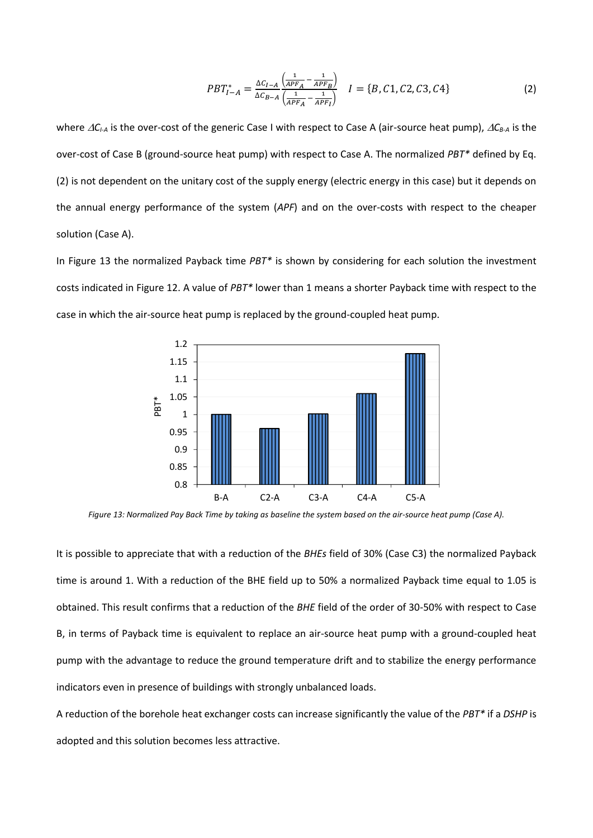$$
PBT_{I-A}^* = \frac{\Delta C_{I-A}}{\Delta C_{B-A}} \frac{\left(\frac{1}{APF_A} - \frac{1}{APF_B}\right)}{\left(\frac{1}{APF_A} - \frac{1}{APF_I}\right)} \quad I = \{B, C1, C2, C3, C4\} \tag{2}
$$

where *CI-A* is the over-cost of the generic Case I with respect to Case A (air-source heat pump), *CB-A* is the over-cost of Case B (ground-source heat pump) with respect to Case A. The normalized *PBT\** defined by Eq. (2) is not dependent on the unitary cost of the supply energy (electric energy in this case) but it depends on the annual energy performance of the system (*APF*) and on the over-costs with respect to the cheaper solution (Case A).

In Figure 13 the normalized Payback time *PBT\** is shown by considering for each solution the investment costs indicated in Figure 12. A value of *PBT\** lower than 1 means a shorter Payback time with respect to the case in which the air-source heat pump is replaced by the ground-coupled heat pump.



*Figure 13: Normalized Pay Back Time by taking as baseline the system based on the air-source heat pump (Case A).*

It is possible to appreciate that with a reduction of the *BHEs* field of 30% (Case C3) the normalized Payback time is around 1. With a reduction of the BHE field up to 50% a normalized Payback time equal to 1.05 is obtained. This result confirms that a reduction of the *BHE* field of the order of 30-50% with respect to Case B, in terms of Payback time is equivalent to replace an air-source heat pump with a ground-coupled heat pump with the advantage to reduce the ground temperature drift and to stabilize the energy performance indicators even in presence of buildings with strongly unbalanced loads.

A reduction of the borehole heat exchanger costs can increase significantly the value of the *PBT\** if a *DSHP* is adopted and this solution becomes less attractive.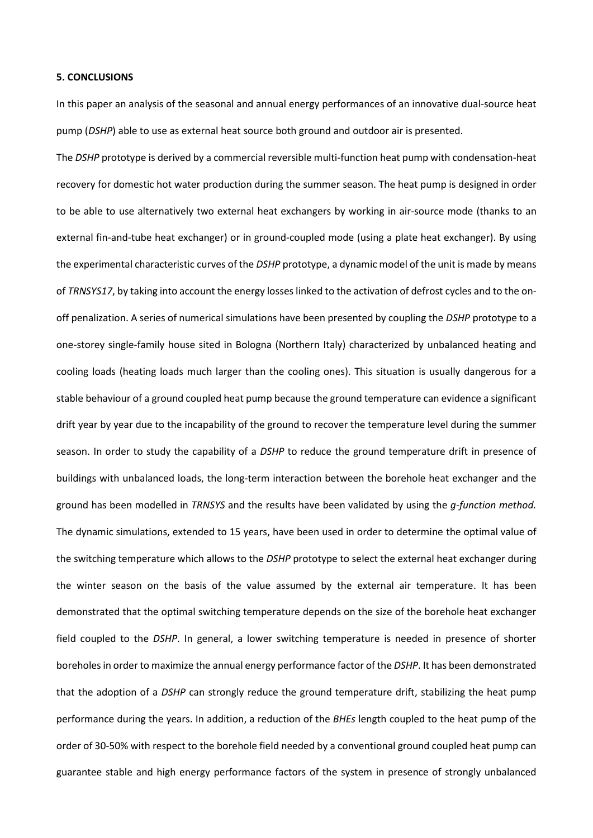#### **5. CONCLUSIONS**

In this paper an analysis of the seasonal and annual energy performances of an innovative dual-source heat pump (*DSHP*) able to use as external heat source both ground and outdoor air is presented.

The *DSHP* prototype is derived by a commercial reversible multi-function heat pump with condensation-heat recovery for domestic hot water production during the summer season. The heat pump is designed in order to be able to use alternatively two external heat exchangers by working in air-source mode (thanks to an external fin-and-tube heat exchanger) or in ground-coupled mode (using a plate heat exchanger). By using the experimental characteristic curves of the *DSHP* prototype, a dynamic model of the unit is made by means of *TRNSYS17*, by taking into account the energy losses linked to the activation of defrost cycles and to the onoff penalization. A series of numerical simulations have been presented by coupling the *DSHP* prototype to a one-storey single-family house sited in Bologna (Northern Italy) characterized by unbalanced heating and cooling loads (heating loads much larger than the cooling ones). This situation is usually dangerous for a stable behaviour of a ground coupled heat pump because the ground temperature can evidence a significant drift year by year due to the incapability of the ground to recover the temperature level during the summer season. In order to study the capability of a *DSHP* to reduce the ground temperature drift in presence of buildings with unbalanced loads, the long-term interaction between the borehole heat exchanger and the ground has been modelled in *TRNSYS* and the results have been validated by using the *g-function method.* The dynamic simulations, extended to 15 years, have been used in order to determine the optimal value of the switching temperature which allows to the *DSHP* prototype to select the external heat exchanger during the winter season on the basis of the value assumed by the external air temperature. It has been demonstrated that the optimal switching temperature depends on the size of the borehole heat exchanger field coupled to the *DSHP*. In general, a lower switching temperature is needed in presence of shorter boreholes in order to maximize the annual energy performance factor of the *DSHP*. It has been demonstrated that the adoption of a *DSHP* can strongly reduce the ground temperature drift, stabilizing the heat pump performance during the years. In addition, a reduction of the *BHEs* length coupled to the heat pump of the order of 30-50% with respect to the borehole field needed by a conventional ground coupled heat pump can guarantee stable and high energy performance factors of the system in presence of strongly unbalanced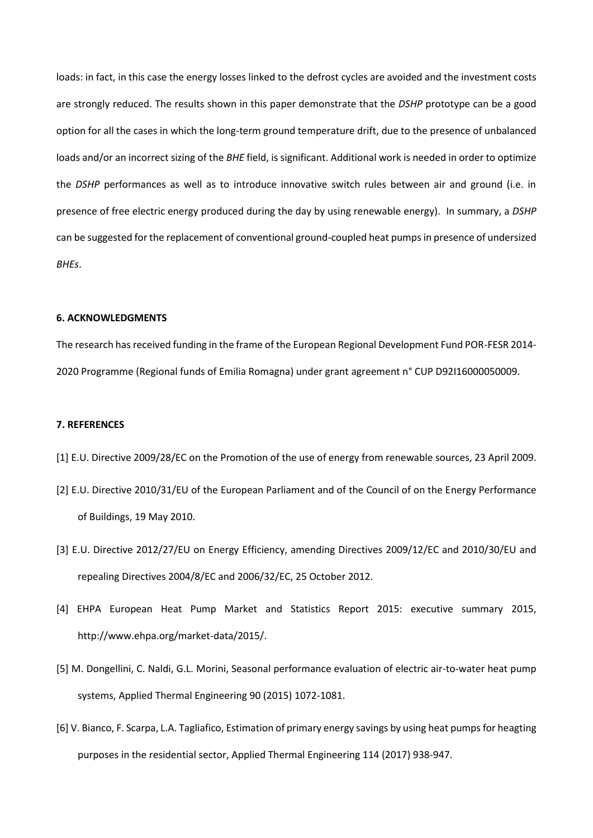loads: in fact, in this case the energy losses linked to the defrost cycles are avoided and the investment costs are strongly reduced. The results shown in this paper demonstrate that the *DSHP* prototype can be a good option for all the cases in which the long-term ground temperature drift, due to the presence of unbalanced loads and/or an incorrect sizing of the *BHE* field, is significant. Additional work is needed in order to optimize the *DSHP* performances as well as to introduce innovative switch rules between air and ground (i.e. in presence of free electric energy produced during the day by using renewable energy). In summary, a *DSHP* can be suggested for the replacement of conventional ground-coupled heat pumps in presence of undersized *BHEs*.

# **6. ACKNOWLEDGMENTS**

The research has received funding in the frame of the European Regional Development Fund POR-FESR 2014- 2020 Programme (Regional funds of Emilia Romagna) under grant agreement n° CUP D92I16000050009.

# **7. REFERENCES**

- [1] E.U. Directive 2009/28/EC on the Promotion of the use of energy from renewable sources, 23 April 2009.
- [2] E.U. Directive 2010/31/EU of the European Parliament and of the Council of on the Energy Performance of Buildings, 19 May 2010.
- [3] E.U. Directive 2012/27/EU on Energy Efficiency, amending Directives 2009/12/EC and 2010/30/EU and repealing Directives 2004/8/EC and 2006/32/EC, 25 October 2012.
- [4] EHPA European Heat Pump Market and Statistics Report 2015: executive summary 2015, http://www.ehpa.org/market-data/2015/.
- [5] M. Dongellini, C. Naldi, G.L. Morini, Seasonal performance evaluation of electric air-to-water heat pump systems, Applied Thermal Engineering 90 (2015) 1072-1081.
- [6] V. Bianco, F. Scarpa, L.A. Tagliafico, Estimation of primary energy savings by using heat pumps for heagting purposes in the residential sector, Applied Thermal Engineering 114 (2017) 938-947.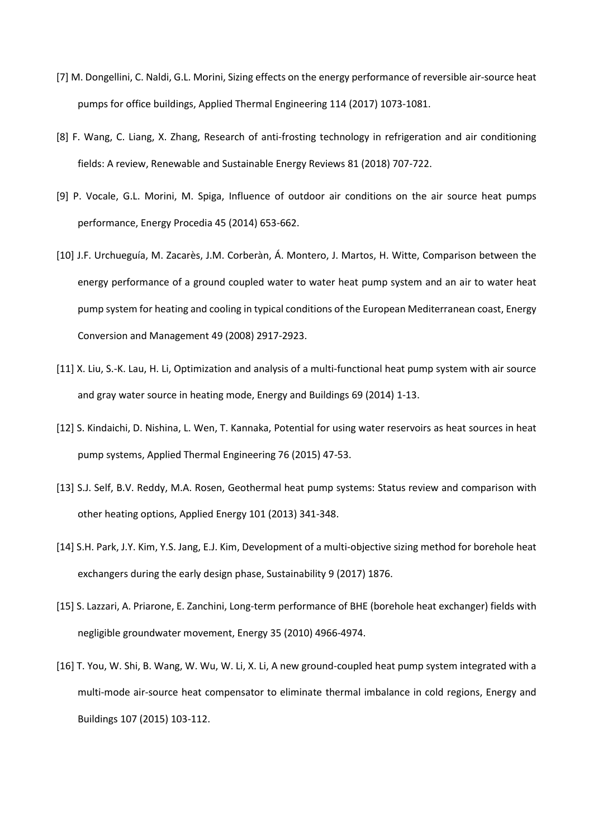- [7] M. Dongellini, C. Naldi, G.L. Morini, Sizing effects on the energy performance of reversible air-source heat pumps for office buildings, Applied Thermal Engineering 114 (2017) 1073-1081.
- [8] F. Wang, C. Liang, X. Zhang, Research of anti-frosting technology in refrigeration and air conditioning fields: A review, Renewable and Sustainable Energy Reviews 81 (2018) 707-722.
- [9] P. Vocale, G.L. Morini, M. Spiga, Influence of outdoor air conditions on the air source heat pumps performance, Energy Procedia 45 (2014) 653-662.
- [10] J.F. Urchueguía, M. Zacarès, J.M. Corberàn, Á. Montero, J. Martos, H. Witte, Comparison between the energy performance of a ground coupled water to water heat pump system and an air to water heat pump system for heating and cooling in typical conditions of the European Mediterranean coast, Energy Conversion and Management 49 (2008) 2917-2923.
- [11] X. Liu, S.-K. Lau, H. Li, Optimization and analysis of a multi-functional heat pump system with air source and gray water source in heating mode, Energy and Buildings 69 (2014) 1-13.
- [12] S. Kindaichi, D. Nishina, L. Wen, T. Kannaka, Potential for using water reservoirs as heat sources in heat pump systems, Applied Thermal Engineering 76 (2015) 47-53.
- [13] S.J. Self, B.V. Reddy, M.A. Rosen, Geothermal heat pump systems: Status review and comparison with other heating options, Applied Energy 101 (2013) 341-348.
- [14] S.H. Park, J.Y. Kim, Y.S. Jang, E.J. Kim, Development of a multi-objective sizing method for borehole heat exchangers during the early design phase, Sustainability 9 (2017) 1876.
- [15] S. Lazzari, A. Priarone, E. Zanchini, Long-term performance of BHE (borehole heat exchanger) fields with negligible groundwater movement, Energy 35 (2010) 4966-4974.
- [16] T. You, W. Shi, B. Wang, W. Wu, W. Li, X. Li, A new ground-coupled heat pump system integrated with a multi-mode air-source heat compensator to eliminate thermal imbalance in cold regions, Energy and Buildings 107 (2015) 103-112.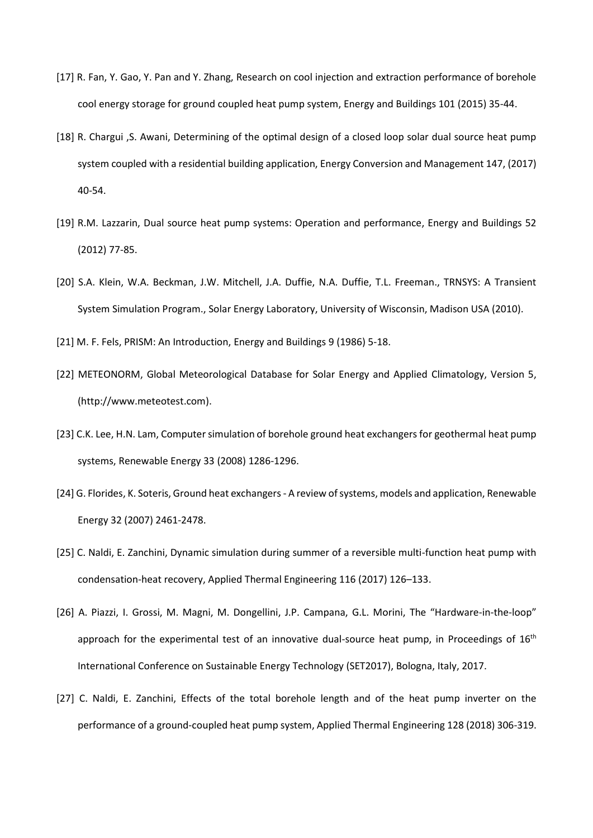- [17] R. Fan, Y. Gao, Y. Pan and Y. Zhang, Research on cool injection and extraction performance of borehole cool energy storage for ground coupled heat pump system, Energy and Buildings 101 (2015) 35-44.
- [18] R. Chargui ,S. Awani, Determining of the optimal design of a closed loop solar dual source heat pump system coupled with a residential building application, Energy Conversion and Management 147, (2017) 40-54.
- [19] R.M. Lazzarin, Dual source heat pump systems: Operation and performance, Energy and Buildings 52 (2012) 77-85.
- [20] S.A. Klein, W.A. Beckman, J.W. Mitchell, J.A. Duffie, N.A. Duffie, T.L. Freeman., TRNSYS: A Transient System Simulation Program., Solar Energy Laboratory, University of Wisconsin, Madison USA (2010).
- [21] M. F. Fels, PRISM: An Introduction, Energy and Buildings 9 (1986) 5-18.
- [22] METEONORM, Global Meteorological Database for Solar Energy and Applied Climatology, Version 5, [\(http://www.meteotest.com\)](http://www.meteotest.com/).
- [23] C.K. Lee, H.N. Lam, Computer simulation of borehole ground heat exchangers for geothermal heat pump systems, Renewable Energy 33 (2008) 1286-1296.
- [24] G. Florides, K. Soteris, Ground heat exchangers A review of systems, models and application, Renewable Energy 32 (2007) 2461-2478.
- [25] C. Naldi, E. Zanchini, Dynamic simulation during summer of a reversible multi-function heat pump with condensation-heat recovery, Applied Thermal Engineering 116 (2017) 126–133.
- [26] A. Piazzi, I. Grossi, M. Magni, M. Dongellini, J.P. Campana, G.L. Morini, The "Hardware-in-the-loop" approach for the experimental test of an innovative dual-source heat pump, in Proceedings of  $16<sup>th</sup>$ International Conference on Sustainable Energy Technology (SET2017), Bologna, Italy, 2017.
- [27] C. Naldi, E. Zanchini, Effects of the total borehole length and of the heat pump inverter on the performance of a ground-coupled heat pump system, Applied Thermal Engineering 128 (2018) 306-319.